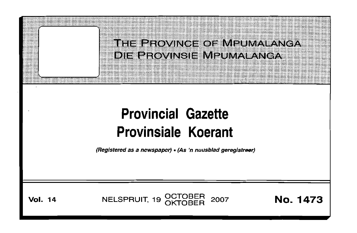

# **Provincial Gazette Provinsiale Koerant**

(Registered as a newspaper) • (As 'n nuusblad geregistreer)

**Vol.** 14 **NELSPRUIT, 19 OCTOBER 2007 No. 1473**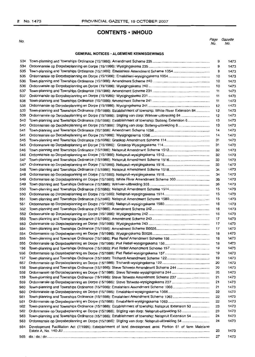## **CONTENTS· INHOLID**

No.

| Page | Gazette |
|------|---------|
| No.  | NO.     |

#### **GENERAL NOTICES· ALGEMENE KENNISGEWINGS**

| 534 |                                                                                                            | 9  | 1473 |
|-----|------------------------------------------------------------------------------------------------------------|----|------|
| 534 |                                                                                                            | 9  | 1473 |
| 535 |                                                                                                            | 9  | 1473 |
| 535 |                                                                                                            | 10 | 1473 |
| 536 |                                                                                                            | 10 | 1473 |
| 536 |                                                                                                            | 10 | 1473 |
| 537 |                                                                                                            |    |      |
|     |                                                                                                            | 11 | 1473 |
| 537 |                                                                                                            | 11 | 1473 |
| 538 |                                                                                                            | 11 | 1473 |
| 538 |                                                                                                            | 12 | 1473 |
| 539 | Town-planning and Townships Ordinance (15/1986): Establishment of township: White River Extension 84       | 12 | 1473 |
| 539 |                                                                                                            | 12 | 1473 |
| 540 | Town-planning and Townships Ordinance (15/1986): Establishment of township: Botleng Extension 6            | 13 | 1473 |
| 540 |                                                                                                            | 13 | 1473 |
| 541 |                                                                                                            | 14 | 1473 |
| 541 |                                                                                                            | 14 | 1473 |
| 545 |                                                                                                            | 31 | 1473 |
| 545 |                                                                                                            | 31 | 1473 |
| 546 |                                                                                                            | 32 | 1473 |
| 546 |                                                                                                            | 32 | 1473 |
| 547 |                                                                                                            | 33 | 1473 |
| 547 |                                                                                                            | 33 | 1473 |
| 548 |                                                                                                            | 34 | 1473 |
| 548 |                                                                                                            | 34 | 1473 |
| 549 |                                                                                                            | 35 | 1473 |
| 549 |                                                                                                            | 35 | 1473 |
| 550 |                                                                                                            | 15 | 1473 |
| 550 |                                                                                                            | 15 | 1473 |
| 551 |                                                                                                            | 15 | 1473 |
| 551 |                                                                                                            | 16 | 1473 |
| 552 |                                                                                                            | 16 | 1473 |
| 552 |                                                                                                            | 16 | 1473 |
| 553 |                                                                                                            | 17 | 1473 |
| 553 |                                                                                                            | 17 | 1473 |
| 554 |                                                                                                            | 17 | 1473 |
| 554 |                                                                                                            | 18 | 1473 |
|     |                                                                                                            |    | 1473 |
| 555 |                                                                                                            | 18 |      |
| 555 |                                                                                                            | 18 | 1473 |
| 156 |                                                                                                            | 19 | 1473 |
| 556 |                                                                                                            | 19 | 1473 |
| 157 |                                                                                                            | 19 | 1473 |
| 557 |                                                                                                            | 20 | 1473 |
| 158 | Town-planning and Townships Ordinance (15/1986): Steve Tshwete Amendment Scheme 244                        | 20 | 1473 |
| 558 |                                                                                                            | 20 | 1473 |
| 159 | Town-planning and Townships Ordinance (15/1986): Steve Tshwete Amendment Scheme 237                        | 21 | 1473 |
| 559 |                                                                                                            | 21 | 1473 |
| 560 |                                                                                                            | 21 | 1473 |
| 560 |                                                                                                            | 22 | 1473 |
| 561 |                                                                                                            | 22 | 1473 |
| 561 |                                                                                                            | 22 | 1473 |
| 562 | Town-planning and Townships Ordinance (15/1986): Establishment of township: Nelspruit Extension 53         | 23 | 1473 |
| 562 |                                                                                                            | 23 | 1473 |
| 563 | Town-planning and Townships Ordinance (15/1986): Establishment of township: Nelspruit Extension 54         | 24 | 1473 |
| 563 |                                                                                                            | 24 | 1473 |
| 564 | Development Facilitation Act (7/1995): Establishment of land development area: Portion 61 of farm Malelane | 25 | 1473 |
| 565 |                                                                                                            | 27 | 1473 |
|     |                                                                                                            |    |      |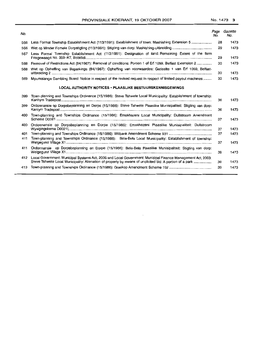| No. |                                                                                                                                                                                                                             | Page<br>No. | Gazette<br>No. |
|-----|-----------------------------------------------------------------------------------------------------------------------------------------------------------------------------------------------------------------------------|-------------|----------------|
| 566 |                                                                                                                                                                                                                             | 28          | 1473           |
| 566 |                                                                                                                                                                                                                             | 29          | 1473           |
| 567 | Less Formal Township Establishment Act (113/1991): Designation of land: Remaining Extent of the farm                                                                                                                        | 29          | 1473           |
| 568 | Removal of Restrictions Act (84/1967); Removal of conditions: Portion 1 of Erf 1059, Belfast Extension 2                                                                                                                    | 30          | 1473           |
| 568 | Wet op Opheffing van Beperkings (84/1967): Opheffing van voorwaardes: Gedeelte 1 van Erf 1059, Belfast-                                                                                                                     | 30          | 1473           |
| 569 | Mpumalanga Gambling Board: Notice in respect of the revised request in respect of limited payout machines                                                                                                                   | 30          | 1473           |
|     | LOCAL AUTHORITY NOTICES • PLAASLIKE BESTUURSKENNISGEWINGS                                                                                                                                                                   |             |                |
| 399 | Town-planning and Townships Ordinance (15/1986): Steve Tshwete Local Municipality: Establishment of township:                                                                                                               | 36          | 1473           |
| 399 | Ordonnansie op Dorpsbeplanning en Dorpe (15/1986): Steve Tshwete Plaaslike Munisipaliteit: Stigting van dorp:                                                                                                               | 36          | 1473           |
| 400 | Town-planning and Townships Ordinance (15/1986): Emakhazeni Local Municipality: Dullstroom Amendment                                                                                                                        | 37          | 1473           |
| 400 | Ordonnansie op Dorpsbeplanning en Dorpe (15/1986): Emakhazeni Plaaslike Munisipaliteit: Dullstroom                                                                                                                          | 37          | 1473           |
| 401 |                                                                                                                                                                                                                             | 37          | 1473           |
| 411 | Town-planning and Townships Ordinance (15/1986): Bela-Bela Local Municipality: Establishment of township:                                                                                                                   | 37          | 1473           |
| 411 | Ordonnansie op Dorpsbeplanning en Dorpe (15/1986): Bela-Bela Plaaslike Munisipaliteit: Stigting van dorp:                                                                                                                   | 38          | 1473           |
|     | 412 Local Government: Municipal Systems Act, 2000 and Local Government: Municipal Finance Management Act, 2003:<br>Steve Tshwete Local Municipality: Alienation of property by means of unolicited bid: A portion of a park | 38          | 1473           |
| 413 |                                                                                                                                                                                                                             | 39          | 1473           |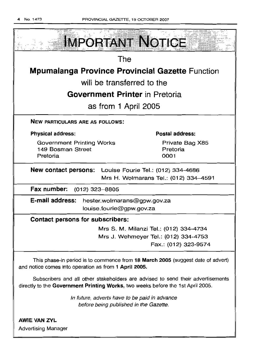

Subscribers and all other stakeholders are advised to send their advertisements directly to the Government Printing Works, two weeks before the 1st April 2005.

> In future, adverts have to be paid in advance before being published in the Gazette.

AWIE VAN ZVL Advertising Manager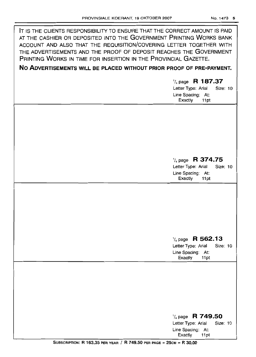| IT IS THE CLIENTS RESPONSIBILITY TO ENSURE THAT THE CORRECT AMOUNT IS PAID<br>AT THE CASHIER OR DEPOSITED INTO THE GOVERNMENT PRINTING WORKS BANK<br>ACCOUNT AND ALSO THAT THE REQUISITION/COVERING LETTER TOGETHER WITH<br>THE ADVERTISEMENTS AND THE PROOF OF DEPOSIT REACHES THE GOVERNMENT<br>PRINTING WORKS IN TIME FOR INSERTION IN THE PROVINCIAL GAZETTE. |                                                                                                       |
|-------------------------------------------------------------------------------------------------------------------------------------------------------------------------------------------------------------------------------------------------------------------------------------------------------------------------------------------------------------------|-------------------------------------------------------------------------------------------------------|
| NO ADVERTISEMENTS WILL BE PLACED WITHOUT PRIOR PROOF OF PRE-PAYMENT.                                                                                                                                                                                                                                                                                              |                                                                                                       |
|                                                                                                                                                                                                                                                                                                                                                                   | $\frac{1}{4}$ page R 187.37<br>Letter Type: Arial<br>Size: 10<br>Line Spacing: At:<br>Exactly<br>11pt |
|                                                                                                                                                                                                                                                                                                                                                                   |                                                                                                       |
|                                                                                                                                                                                                                                                                                                                                                                   | $\frac{1}{4}$ page R 374.75<br>Letter Type: Arial<br>Size: 10<br>Line Spacing: At:<br>Exactly<br>11pt |
|                                                                                                                                                                                                                                                                                                                                                                   | $\frac{1}{4}$ page R 562.13<br>Letter Type: Arial<br>Size: 10<br>Line Spacing: At:<br>Exactly<br>11pt |
|                                                                                                                                                                                                                                                                                                                                                                   | $\frac{1}{4}$ page R 749.50<br>Letter Type: Arial<br>Size: 10<br>Line Spacing: At:<br>Exactly<br>11pt |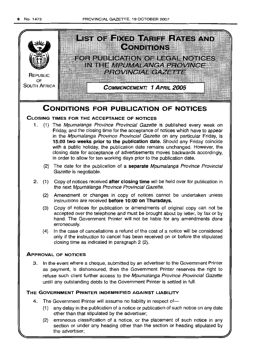

## **CONDITIONS FOR PUBLICATION OF NOTICES**

## CLOSING TIMES FOR THE ACCEPTANCE OF NOTICES

- 1. (1) The Mpumalanga Province Provincial Gazette is published every week on Friday, and the closing time for the acceptance of notices which have to appear in the Mpumalanga Province Provincial Gazette on any particular Friday, is 15:00 two weeks prior to the publication date. Should any Friday coincide with a public holiday, the publication date remains unchanged. However, the closing date for acceptance of advertisements moves backwards accordingly, in order to allow for ten working days prior to the publication date.
	- (2) The date for the publication of a separate Mpumalanga Province Provincial Gazette is negotiable.
- 2. (1) Copy of notices received after closing time will be held over for publication in the next Mpumalanga Province Provincial Gazette.
	- (2) Amendment or changes in copy of notices cannot be undertaken unless instructions are received before 10:00 on Thursdays.
	- (3) Copy of notices for publication or amendments of original copy can not be accepted over the telephone and must be brought about by letter, by fax or by hand. The Government Printer will not be liable for any amendments done erroneously.
	- (4) In the case of cancellations a refund of the cost of a notice will be considered only if the instruction to cancel has been received on or before the stipulated closing time as indicated in paragraph 2 (2).

## ApPROVAL OF NOTICES

3. In the event where a cheque, submitted by an advertiser to the Government Printer as payment, is dishonoured, then the Government Printer reserves the right to refuse such client further access to the Mpumalanga Province Provincial Gazette untill any outstanding debts to the Government Printer is settled in full.

## THE GOVERNMENT PRINTER INDEMNIFIED AGAINST LIABILITY

- 4. The Government Printer will assume no liability in respect of-
	- (1) any delay in the publication of a notice or publication of such notice on any date other than that stipulated by the advertiser;
	- (2) erroneous classification of a notice, or the placement of such notice in any section or under any heading other than the section or heading stipulated by the advertiser;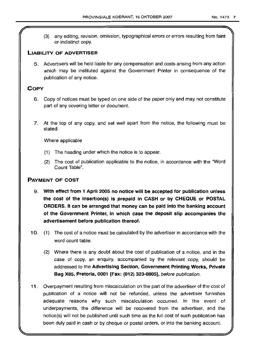## LIABILITY OF ADVERTISER

5. Advertisers will be held liable for any compensation and costs arising from any action which may be instituted against the Government Printer in consequence of the publication of any notice.

## **COPY**

- 6. Copy of notices must be typed on one side of the paper only and may not constitute part of any covering letter or document.
- 7. At the top of any copy, and set well apart from the notice, the following must be stated:

Where applicable

- (1) The heading under which the notice is to appear.
- (2) The cost of publication applicable to the notice, in accordance with the "Word Count Table".

## PAYMENT OF COST

- 9. With effect from 1 April 2005 no notice will be accepted for publication unless the cost of the insertion(s) is prepaid in CASH or by CHEQUE or POSTAL ORDERS. It can be arranged that money can be paid into the banking account of the Government Printer, in which case the deposit slip accompanies the advertisement before publication thereof.
- 10. (1) The cost of a notice must be calculated by the advertiser in accordance with the word count table.
	- (2) Where there is any doubt about the cost of publication of a notice, and in the case of copy, an enquiry, accompanied by the relevant copy, should be addressed to the Advertising Section, Government Printing Works, Private Bag X85, Pretoria, 0001 [Fax: (012) 323-8805], before publication.
- 11 . Overpayment resulting from miscalculation on the part of the advertiser of the cost of publication of a notice will not be refunded, unless the advertiser furnishes adequate reasons why such miscalculation occurred. In the event of underpayments, the difference will be recovered from the advertiser, and the notice(s) will not be published until such time as the full cost of such publication has been duly paid in cash or by cheque or postal orders, or into the banking account.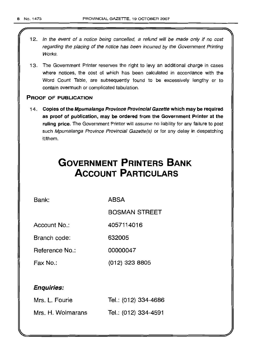l

- 12. In the event of a notice being cancelled, a refund will be made only if no cost regarding the placing of the notice has been incurred by the Government Printing Works.
- 13. The Government Printer reserves the right to levy an additional charge in cases where notices, the cost of which has been calculated in accordance with the Word Count Table, are subsequently found to be excessively lengthy or to contain overmuch or complicated tabulation.

## PROOF OF PUBLICATION

14. Copies of the Mpumalanga Province Provincial Gazette which may be required as proof of publication, may be ordered from the Government Printer at the ruling price. The Government Printer will assume no liability for any failure to post such Mpumalanga Province Provincial Gazette(s) or for any delay in despatching it/them.

# **GOVERNMENT PRINTERS BANK ACCOUNT PARTICULARS**

Bank: ABSA

BOSMAN STREET

Account No.: 4057114016

Branch code: 632005

Reference No.: 00000047

Fax No.: (012) 323 8805

## Enquiries:

| Mrs. L. Fourie    | Tel.: (012) 334-4686 |
|-------------------|----------------------|
| Mrs. H. Wolmarans | Tel.: (012) 334-4591 |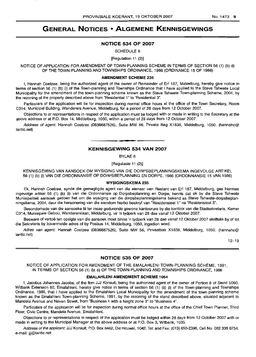## **GENERAL NOTICES • ALGEMENE KENNISGEWINGS**

## **NOTICE 534 OF 2007**

SCHEDULE 8

[Regulation 11 (2)]

NOTICE OF APPLICATION FOR AMENDMENT OF TOWN-PLANNING SCHEME IN TERMS OF SECTION 56 (1) (b) (i) OF THE TOWN-PLANNING AND TOWNSHIPS ORDINANCE, 1986 (ORDINANCE 15 OF 1986)

#### **AMENDMENT SCHEME** 235

I, Hannah Coetzee, being the authorized agent of the owner of Remainder of Erf 187, Middelburg, hereby give notice in terms of section 56 (1) (b) (i) of the Town-planning and Townships Ordinance that I have applied to the Steve Tshwete Local Municipality for the amendment of the town-planning scheme known as the Steve Tshwete Town-planning Scheme, 2004, by the rezoning of the property described above from "Residential 1" to "Residential 3".

Particulars of the application will lie for inspection during normal office hours at the office of the Town Secretary, Room C314, Municipal Building, Wanderers Avenue, Middelburg, for a period of 28 days from 12 October 2007.

Objections to or representations in respect of the application must be lodged with or made in writing to the Secretary at the above address or at P.O. Box 14, Middelburg, 1050, within a period of 28 days from 12 October 2007.

Address of agent: Hannah Coetzee (0836687526), Suite MW 56, Private Bag X1838, Middelburg, 1050. (hannahc@ lantic.net)

## **• KENNISGEWING 534 VAN 2007**

BYLAE 8

[Regulasie 11 (2)]

KENNISGEWING VAN AANSOEK OM WYSIGING VAN DIE DORPSBEPLANNINGSKEMA INGEVOLGE ARTIKEL 56 (1) (b) (i) VAN DIE ORDONNANSIE OP DORPSBEPLANNING EN DORPE, 1986 (ORDONNANSIE 15 VAN 1986)

#### **WYSIGINGSKEMA** 235

Ek, Hannah Coetzee, synde die gemagtigde agent van die eienaar van Restant van Erf 187, Middelburg, gee hiermee ingevolge artikel 56 (1) (b) (i) van die Ordonnansie op Dorpsbeplanning en Dorpe, kennis dat ek by die Steve Tshwete Munisipaliteit aansoek gedoen het om die wysiging van die dorpsbeplanningskema bekend as Steve Tshwete-dorpsbeplanningskema, 2004. deur die hersonering van die eiendom hierbo beskryf van "Residensieel 1" na "Residensieel 3".

Besonderhede van die aansoeke lê ter insae gedurende gewone kantoorure by die kantoor van die Stadsekretaris, Kamer C314, Munisipale Gebou, Wandererslaan, Middelburg, vir 'n tydperk van 28 dae vanaf 12 Oktober 2007.

Besware of vertoë ten opsigte van die aansoek moet binne 'n tydperk van 28 dae vanaf 12 Oktober 2007 skriftelik by of tot die Sekretaris by bovermelde adres of by Posbus 14, Middelburg, 1050, ingedien word.

Adres van agent: Hannah Coetzee (0836687526), Suite MW 56, Privaatsak X1838, Middelburg, 1050. (hannahc@ lantic. net)

12-19

#### **NOTICE 535 OF 2007**

NOTICE OF APPLICATION FOR AMENDMENT OF THE EMALAHLENI TOWN-PLANNING SCHEME, 1991, IN TERMS OF SECTION 56 (1) (b) (i) OF THE TOWN-PLANNING AND TOWNSHIPS ORDINANCE, 1986

#### **EMALAHLENI AMENDMENT SCHEME** 1054

I, Jacobus Johannes Jacobs, of the firm JJJ Konsult, being the authorized agent of the owner of Portion 6 of Stand 5060, Witbank Extension 60, Emalahleni, hereby give notice in terms of section 56 (1) (b) (i) of the Town-planning and Townships Ordinance, 1966, that I have applied to the Emalahleni Local Municipality for the amendment of the town-planning scheme known as the Emalahleni Town-planning Scheme, 1991, by the rezoning of the stand described above, situated adjacent to Mandela Avenue and Neven Street, from "Business 4 with a height zone 3" to "Business 4".

Particulars of the application will lie for inspection during normal office hours at the office of the Chief Town Planner, Third Floor, Civic Centre, Mandela Avenue, Emalahleni.

Objections to or representations in respect of the application must be lodged within 28 days from 12 October 2007 with or made in writing to the Municipal Manager at the above address or at P.O. Box 3, Witbank, 1035.

Address of the applicant: JJJ Konsult, P.O. Box 6462, Die Heuwel, 1042. Tel: and Fax: (013) 650-2396, Cell No. 082336 6754, e-mail: jjj@lantic.net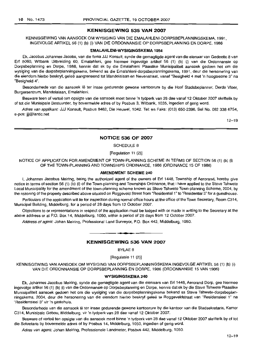#### **KENNISGEWING 535 VAN 2007**

KENNISGEWING VAN AANSOEK OM WYSIGING VAN DIE EMALAHLENI-DORPSBEPLANNINGSKEMA, 1991, INGEVOLGE ARTIKEL 56 (1) (b) (i) VAN DIE ORDONNANSIE OP DORPSBEPLANNING EN DORPE, 1986

#### **EMALAHLENI·WYSIGINGSKEMA 1054**

Ek, Jacobus Johannes Jacobs, van die firma JJJ Konsult, synde die gemagtigde agent van die eienaar van Gedeelte 8 van Erf 5060, Witbank Uitbreiding 60, Emalahleni, gee hiermee ingevolge artikel 56 (1) (b) (i) van die Ordonnansie op Dorpsbeplanning en Dorpe, 1986, kennis dat ek by die Emalahleni Plaaslike Munisipaliteit aansoek gedoen het om die wysiging van die dorpsbeplanningskema, bekend as die Emalahleni-dorpsbeplanningskema, 1991, deur die hersonering van die eiendom hierbo beskryf, geleë aangrensend tot Mandelalaan en Nevenstraat, vanaf "Besigheid 4 met 'n hoogtesone 3" na "Besigheid 4".

Besonderhede van die aansoek lê ter insae gedurende gewone kantoorure by die Hoof Stadsbeplanner, Derde Vloer, Burgersentrum, Mandelalaan, Emalahleni.

Besware teen of vertoë ten opsigte van die aansoek moet binne 'n tydperk van 28 dae vanaf 12 Oktober 2007 skriftelik by of tot die Munisipale Bestuurder, by bovermelde adres of by Posbus 3, Witbank, 1035, ingedien of gerig word.

Adres van applikant: JJJ Konsult, Posbus 8462, Die Heuwel, 1042. Tel: en Faks: (013) 650-2396, Sel No. 082 338 6754, e-pos: jjj@lantic.net

12-19

#### **NOTICE 536 OF 2007**

SCHEDULE 8

[Regulation 11 (2)]

NOTICE OF APPLICATION FOR AMENDMENT OF TOWN-PLANNING SCHEME IN TERMS OF SECTION 56 (1) (b) (i) OF THE TOWN-PLANNING AND TOWNSHIPS ORDINANCE, 1986 (ORDINANCE 15 OF 1986)

#### **AMENDMENT SCHEME** 240

I, Johannes Jacobus Meiring, being the authorized agent of the owners of Erf 1448, Township of Aerorand, hereby give notice in terms of section 56 (1) (b) (i) of the Town-planning and Townships Ordinance, that I have applied to the Steve Tshwete Local Municipality for the amendment of the town-planning scheme known as Steve Tshwete Town-planning Scheme, 2004, by the rezoning of the property described above situated on Roggeveld Street from "Residential 1" to "Residential 3" for a questhouse.

Particulars of the application will lie for inspection during normal office hours at the office of the Town Secretary, Room C314, Municipal Building, Middelburg, for a period of 28 days from 12 October 2007.

Objections to or representations in respect of the application must be lodged with or made in writing to the Secretary at the above address or at P.O. Box 14, Middelburg, 1050, within a period of 28 days from 12 October 2007.

Address of agent: Johan Meiring, Professional Land Surveyor, P.O. Box 442, Middelburg, 1050.

## **• KENNISGEWING 536 VAN 2007**

BYLAE 8

[Regulasie 11 (2)]

KENNISGEWING VAN AANSOEK OM WYSIGING VAN DORPSBEPLANNINGSKEMA INGEVOLGE ARTIKEL 56 (1) (b) (i) VAN DIE ORDONNANSIE OP DORPSBEPLANNING EN DORPE, 1986 (ORDONNANSIE 15 VAN 1986)

#### **WYSIGINGSKEMA 240**

Ek, Johannes Jacobus Meiring, synde die gemagtigde agent van die eienaars van Erf 1448, Aerorand Dorp, gee hiermee ingevolge artikel 56 (1) (b) (i) van die Ordonnansie op Dorpsbeplanning en Dorpe, kennis dat ek by die Steve Tshwete Plaaslike Munisipaliteit aansoek gedoen het om die wysiging van die dorpsbeplanningskema bekend as Steve Tshwete-dorpsbeplanningskema, 2004, deur die hersonering van die eiendom hierbo beskryf gelee te Roggeveldstraat van "Residensieel 1" na "Residensieel 3" vir 'n gastehuis.

Besonderhede van die aansoek lê ter insae gedurende gewone kantoorure by die kantoor van die Stadsekretaris, Kamer C314, Munisipale Gebou, Middelburg, vir 'n tydperk van 28 dae vanaf 12 Oktober 2007.

Besware of vertoë ten opsigte van die aansoek moet binne 'n tydperk van 28 dae vanaf 12 Oktober 2007 skriftelik by of tot die Sekretaris by bovermelde adres of by Posbus 14, Middelburg, 1050, ingedien of gerig word.

Adres van agent: Johan Meiring, Professionele Landmeter, Posbus 442, Middelburg, 1050.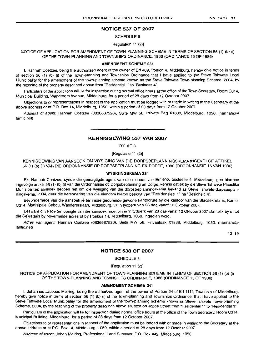#### NOTICE 537 OF 2007

SCHEDULE 8

[Regulation 11 (2)]

NOTICE OF APPLICATION FOR AMENDMENT OF TOWN-PLANNING SCHEME IN TERMS OF SECTION 56 (1) (b) (i) OF THE TOWN-PLANNING AND TOWNSHIPS ORDINANCE, 1986 (ORDINANCE 15 OF 1986)

#### AMENDMENT SCHEME 231

I, Hannah Coetzee, being the authorized agent of the owner of Erf 409, Portion 4, Middelburg, hereby give notice in terms of section 56 (1) (b) (i) of the Town-planning and Townships Ordinance that I have applied to the Steve Tshwete Local Municipality for the amendment of the town-planning scheme known as the Steve Tshwete Town-planning Scheme, 2004, by the rezoning of the property described above from "Residential 1" to "Business 4".

Particulars of the application will lie for inspection during normal office hours at the office of the Town Secretary, Room C314, Municipal Building, Wanderers Avenue, Middelburg, for a period of 28 days from 12 October 2007.

Objections to or representations in respect of the application must be lodged with or made in writing to the Secretary at the above address or at P.O. Box 14, Middelburg, 1050, within a period of 28 days from 12 October 2007.

Address of agent: Hannah Coetzee (0836687526), Suite MW 56, Private Bag X1838, Middelburg, 1050. (hannahc@ lantic.net)

## **-** KENNISGEWING 537 VAN 2007

BYLAE 8

[Regulasie 11 (2)]

KENNISGEWING VAN AANSOEK OM WYSIGING VAN DIE DORPSBEPLANNINGSKEMA INGEVOLGE ARTIKEL 56 (1) (b) (ii) VAN DIE ORDONNANSIE OP DORPSBEPLANNING EN DORPE, 1986 (ORDONNANSIE 15 VAN 1986)

#### WYSIGINGSKEMA 231

Ek, Hannah Coetzee, synde die gemagtigde agent van die eienaar van Erf 409, Gedeelte 4, Middelburg, gee hiermee ingevolge artikel 56 (1) (b) (i) van die Ordonnansie op Dorpsbeplanning en Dorpe, kennis dat ek by die Steve Tshwete Plaaslike Munisipaliteit aansoek gedoen het om die wysiging van die dorpsbeplanningskema bekend as Steve Tshwete-dorpsbeplanningskema, 2004, deur die hersonering van die eiendom hierbo beskryf van "Residensieel 1" na "Besigheid 4".

Besonderhede van die aansoek lê ter insae gedurende gewone kantoorure by die kantoor van die Stadsekretaris, Kamer C314, Munisipale Gebou, Wandererslaan, Middelburg, vir 'n tydperk van 28 dae vanaf 12 Oktober 2007.

Besware of vertoë ten opsigte van die aansoek moet binne 'n tydperk van 28 dae vanaf 12 Oktober 2007 skriftelik by of tot die Sekrelaris by bovermelde adres of by Posbus 14, Middelburg, 1050, ingedien word.

Adres van agent: Hannah Coetzee (0836687526), Suite MW 56, Privaatsak X1838, Middelburg, 1050. (hannahc@ lantic.net)

12-19

## NOTICE 538 OF 2007

SCHEDULE 8

[Requlation 11 (2)]

NOTICE OF APPLICATION FOR AMENDMENT OF TOWN-PLANNING SCHEME IN TERMS OF SECTION 56 (1) (b) (i) OF THE TOWN-PLANNING AND TOWNSHIPS ORDINANCE, 1986 (ORDINANCE 15 OF 1986)

#### AMENDMENT SCHEME 241

I, Johannes Jacobus Meiring, being the authorized agent of the owner of Portion 24 of Erf 1111, Township of Middelburg, hereby give notice in terms of section 56 (1) (b) (i) of the Town-planning and Townships Ordinance, that I have applied to the Steve Tshwete Local Municipality for the amendment of the town-planning scheme known as Steve Tshwete Town-planning Scheme, 2004, by the rezoning of the property described above situated on Jeppe Street from "Residential 1" to "Residential 3".

Particulars of the application will lie for inspection during normal office hours at the office of the Town Secretary, Room C314, Municipal Building, Middelburg, for a period of 28 days from 12 October 2007.

Objections to or representations in respect of the application must be lodged with or made in writing to the Secretary at the above address or at P.O. Box 14, Middelburg, 1050, within a period of 28 days from 12 October 2007.

Address of agent: Johan Meiring, Professional Land Surveyor, P.O. Box 442, Middelburg, 1050.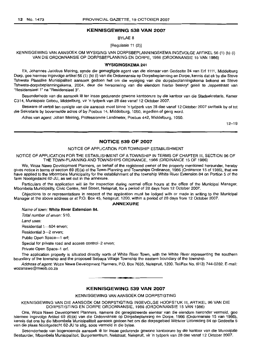### **KENNISGEWING 538 VAN 2007**

BYLAE 8

[Regulasie 11 (2)]

KENNISGEWING VAN AANSOEK OM WYSIGING VAN DORPSBEPLANNINGSKEMA INGEVOLGE ARTIKEL 56 (1) (b) (i) VAN DIE ORDONNANSIE OP DORPSBEPLANNING EN DORPE, 1986 (ORDONNANSIE 15 VAN 1986)

#### **WYSIGINGSKEMA 241**

Ek, Johannes Jacobus Meiring, synde die gemagtigde agent van die eienaar van Gedeelte 24 van Erf 1111, Middelburg Dorp, gee hiermee ingevolge artikel 56 (1) (b) (i) van die Ordonnansie op Dorpsbeplanning en Dorpe, kennis dat ek by die Steve Tshwete Plaaslike Munisipaliteit aansoek gedoen het om die wysiging van die dorpsbeplanningskema bekend as Steve Tshwete-dorpsbeplanningskema, 2004, deur die hersonering van die eiendom hierbo beskryf geleë te Jeppestraat van "Residensieel 1" na "Residensieel 3".

Besonderhede van die aansoek Ie ter insae gedurende gewone kantoorure by die kantoor van die Stadsekretaris, Kamer C314, Munisipale Gebou, Middelburg, vir 'n tydperk van 28 dae vanaf 12 Oktober 2007.

Besware of vertoë ten opsigte van die aansoek moet binne 'n tydperk van 28 dae vanaf 12 Oktober 2007 skriftelik by of tot die Sekretaris by bovermelde adres of by Posbus 14, Middelburg, 1050, ingedien of gerig word.

Adres van agent: Johan Meiring, Professionele Landmeter, Posbus 442, Middelburg, 1050.

 $12 - 19$ 

#### **NOTICE 539 OF 2007**

#### NOTICE OF APPLICATION FOR TOWNSHIP ESTABLISHMENT

NOTICE OF APPLICATION FOR THE ESTABLISHMENT OF A TOWNSHIP IN TERMS OF CHAPTER III, SECTION 96 OF THE TOWN-PLANNING AND TOWNSHIPS ORDINANCE, 1986 (ORDINANCE 15 OF 1986)

We, Woza Nawe Development Planners, on behalf of the registered owner of the property mentioned hereunder, hereby gives notice in terms of section 69 (6)(a) of the Town-Planning and Townships Ordinance, 1986 (Ordinance 15 of 1986), that we have applied to the Mbombela Municipality for the establishment of the township White River Extension 84 on Portion 5 of the farm Nooitgedacht 62-JU, as set out in the annexure.

Particulars of the application will lie for inspection during normal office hours at the office of the Municipal Manager, Mbombela Municipality, Civic Centre, Nel Street, Nelspruit, for a period of 28 days from 12 October 2007.

Objections to or representations in respect of the application must be lodged with or made in writing to the Municipal Manager at the above address or at P.O. Box 45, Nelspruit, 1200, within a period of 28 days from 12 October 2007.

#### **ANNEXURE**

Name of lown: **White River Extension 84.**

Total number of erven: 510.

Land uses:

Residential 1-504 erven:

Residential 3-2 erven;

Public Open Space-1 erf;

Special for private road and access control-2 erven;

Private Open Space-1 ert.

The application property is situated directly north of White River Town, with the White River representing the southern boundary 01 the township and the proposed Sebaya Village Township the eastern boundary of the township.

Address of agent: Woza Nawe Development Planners, P.O. Box 7635, Nelspruit, 1200. Tel/Fax No. (013) 744-0282. E-mail: wozanawe@mweb.co.za

**KENNISGEWING 539 VAN 2007**

**•**

KENNISGEWING VAN AANSOEK OM DORPSTIGTING

KENNISGEWING VAN DIE AANSOEK OM DORPSTIGTING INGEVOLGE HOOFSTUK III, ARTIKEL 96 VAN DIE DORPSTIGTING EN DORPE ORDONNANSIE, 1986 (ORDONNANSIE 15 VAN 1986)

Ons, Woza Nawe Development Planners, namens die geregistreerde eienaar van die eiendom hieronder vermeld, gee hiermee ingevolge Artikel 69 (6)(a) van die Ordonnansie op Dorpsbeplanning en Dorpe, 1986 (Ordonnansie 15 van 1986), kennis dat ons by die Mbombela Munisipaliteit aansoek gedoen het om die dorpsgebied Witrivier Uitbreiding 84 op Gedeelte 5 van die plaas Nooitgedacht 62-JU te stig, soos vermeld in die bylae.

Besonderhede van bogenoemde aansoek lê ter insae gedurende gewone kantoorure by die kantoor van die Munisipale Bestuurder, Mbombela Munisipaliteit, Burgersentrum, Nelstraat, Nelspruit, vir 'n tydperk van 28 dae vanaf 12 Oktober 2007.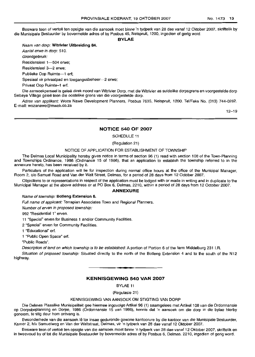Besware teen of vertoë ten opsigte van die aansoek moet binne 'n tydperk van 28 dae vanaf 12 Oktober 2007, skriftelik by die Munisipale Bestuurder by bovermelde adres of by Posbus 45, Nelspruit, 1200, ingedien of gerig word

#### **BYLAE**

Naam van dorp: **Witrivier Uitbreiding 84.** Aantal erwe in dorp: 510. Grondgebruik: Residensieel 1-504 erwe; Residensieel 3-2 erwe; Publieke Oop Ruimte-1 erf; Spesiaal vir privaatpad en toegangssbeheer-2 erwe; Privaat Oop Ruimte-1 ert.

Die aansoekperseel is geleë direk noord van Witrivier Dorp, met die Witrivier as suidelike dorpsgrens en voorgestelde dorp Sebaya Village geleë teen die oostelike grens van die voorgestelde dorp.

Adres van applikant: Woza Nawe Development Planners, Posbus 7635, Nelspruit, 1200. Tel/Faks No. (013) 744-0282. E-mail: wozanawe@mweb.co.za

12-19

#### **NOTICE 540 OF 2007**

SCHEDULE 11

(Regulation 21)

#### NOTICE OF APPLICATION FOR ESTABLISHMENT OF TOWNSHIP

The Delmas Local Municipality hereby gives notice in terms of section 96 (1) read with section 108 of the Town-Planning and Townships Ordinance, 1986 (Ordinance 15 of 1986), that an application to establish the township referred to in the annexure hereto, has been received by it.

Particulars of the application will lie for inspection during normal office hours at the office of the Municipal Manager, Room 2, *cto* Samuel Road and Van der Walt Street, Delmas, for a period of 28 days from 12 October 2007.

Objections to or representations in respect of the application must be lodged with or made in writing and in duplicate to the Municipal Manager at the above address or at PO Box 6, Delmas, 2210, within a period of 28 days from 12 October 2007.

#### **ANNEXURE**

#### Name of township: **Botleng Extension 6.**

Full name of applicant: Terraplan Associates Town and Regional Planners.

Number of erven in proposed township:

992 "Residential 1" erven.

11 "Special" erven for Business 1 and/or Community Facilities.

2 "Special" erven for Community Facilities.

1 "Educational" erl.

1 "Public Open Space" ert.

"Public Roads".

Description of land on which township is to be established: A portion of Portion 6 of the farm Middelburg 231 I.R.

Situation of proposed township: Situated directly to the north of the Botleng Extension 4 and to the south of the N12 highway.

## **KENNISGEWING 540 VAN 2007**

**•**

BYLAE 11

(Regulasie 21)

## KENNISGEWING VAN AANSOEK OM STIGTING VAN DORP

Die Delmas Plaaslike Munisipaliteit gee hiermee ingevolge Artikel 96 (1) saamgelees met Artikel 108 van die Ordonnansie op Dorpsbeplanning en Dorpe, 1986 (Ordonnansie 15 van 1986), kennis dat 'n aansoek om die dorp in die bylae hierby genoem, te stig deur hom ontvang is.

Besonderhede van die aansoek lê ter insae gedurende gewone kantoorure by die kantoor van die Munisipale Bestuurder, Kamer 2, hlv Samuelweg en Van der Waltstraat, Delmas, vir 'n tydperk van 28 dae vanaf 12 Oktober 2007.

Besware teen of vertoe ten opsigte van die aansoek moet binne 'n tydperk van 28 dae vanaf 12 Oktober 2007, skriftelik en in tweevoud by of tot die Munisipale Bestuurder by bovermelde adres of by Posbus 6, Delmas, 2210, ingedien of gerig word.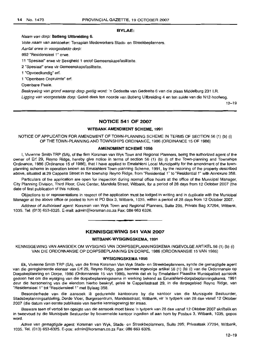#### BYLAE:

#### Naam van dorp: Botleng Uitbreiding 6.

Volle naam van aansoeker: Terraplan Medewerkers Stads- en Streekbeplanners.

Aantal erwe in voorgestelde dorp:

992 "Residensieel 1" erwe.

11 "Spesiaal" erwe vir Besigheid 1 en/of Gemeenskapsfasiliteite.

2 "Spesiaal" erwe vir Gemeenskapsfasiliteite.

1 "Opvoedkundig" erf.

1 "Openbare Oopruimte" erf.

Openbare Paaie.

Beskrywing van grond waarop dorp gestig word: 'n Gedeelte van Gedeelte 6 van die plaas Middelburg 231 I.R.

Ligging van voorgestelde dorp: Geleë direk ten noorde van Botleng Uitbreiding 4 en ten suide van die N12-hoofweg.

12-19

## NOTICE 541 OF 2007

#### WITBANK AMENDMENT SCHEME, 1991

NOTICE OF APPLICATION FOR AMENDMENT OF TOWN-PLANNING SCHEME IN TERMS OF SECTION 56 (1) (b) (i) OFTHE TOWN-PLANNING AND TOWNSHIPS ORDINANCE, 1986 (ORDINANCE 15 OF 1986)

#### AMENDMENT SCHEME 1056

I, Vivienne Smith TRP (SA), of the firm Korsman van Wyk Town and Regional Planners, being the authorized agent of the owner of Erf 29, Reyno Ridge, hereby give notice in terms of section 56 (1) (b) (i) of the Town-planning and Townships Ordinance, 1986 (Ordinance 15 of 1986), that I have applied to Emalahleni Local Municipality for the amendment of the townplanning scheme in operation known as Emalahleni Town-planning Scheme, 1991, by the rezoning of the property described above, situated at 29 Cappella Street in the township Reyno Ridge, from "Residential 1" to "Residential 1" with Annexure 358.

Particulars of the application are open for inspection during normal office hours at the office of the Municipal Manager, City Planning Division, Third Floor, Civic Center, Mandela Street, Witbank, for a period of 28 days from 12 October 2007 (the date of first publication of this notice).

Objections to or representations in respect of the application must be lodged in writing and in duplicate with the Municipal Manager at the above office or posted to him at PO Box 3, Witbank, 1035, within a period of 28 days from 12 October 2007.

Address ot authorised agent: Korsman van Wyk Town and Regional Planners, Suite 295, Private Bag X7294, Witbank, 1035. Tel: (013) 653-6325. E-mail: admin@korsman.co.za Fax: 086 663 6326.

## KENNISGEWING 541 VAN 2007

**•**

#### WITBANK-WYSIGINGSKEMA, 1991

KENNISGEWING VAN AANSOEK OM WYSIGING VAN DORPSBEPLANNINGSKEMA INGEVOLGE ARTIKEL 56 (1) (b) (i) VAN DIE ORDONNANSIE OP DORPSBEPLANNING EN DORPE, 1986 (ORDONNANSIE 15 VAN 1986)

#### WYSIGINGSKEMA 1056

Ek, Vivienne Smith TRP (SA), van die firma Korsman Van Wyk Stads- en Streekbeplanners, synde die gemagtigde agent van die geregistreerde eienaar van Erf 29, Reyno Ridge, gee hiermee ingevolge artikel 56 (1) (b) (i) van die Ordonnansie op Dorpsbeplanning en Dorpe, 1986 (Ordonnansie 15 van 1986), kennis dat ek by Emalahleni Plaaslike Munisipaliteit aansoek gedoen het om die wysiging van die dorpsbeplanningskema in werking bekend as Emalahieni-dorpsbeplanningskema, 1991 deur die hersonering van die eiendom hierbo beskryf, geleë te Cappellastraat 29, in die dorpsgebied Reyno Ridge, van "Residensieel 1" tot "Residensieel 1" met Bylaag 358.

Besonderhede van die aansoek lê gedurende kantoorure by die kantoor van die Munisipale Bestuurder, Stadsbeplanningsafdeling, Derde Vloer, Burgersentrum, Mandelastraat, Witbank, vir 'n tydperk van 28 dae vanaf 12 Oktober 2007 (die datum van eerste publikasie van hierdie kennisgewing) ter insae.

Besware teen of vertoe ten opsigte van die aansoek moet binne 'n tydperk van 28 dae vanaf 12 Oktober 2007 skriftelik en in tweevoud by die Munisipale Bestuurder by bovermelde kantoor ingedien of aan hom by Posbus 3, Witbank, 1035, gepos word.

Adres van gemagtigde agent: Korsman van Wyk, Stads- en Streekbeplanners, Suite 295; Privaatsak X7294, Witbank, 1035. Tel. (013) 653-6325. E-pos: admin@korsman.co.za Fax: 086 663 6326.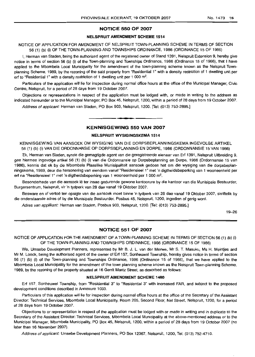#### **NOTICE 550 OF 2007**

#### **NELSPRUIT AMENDMENT SCHEME 1514**

NOTICE OF APPLICATION FOR AMENDMENT OF NELSPRUIT TOWN-PLANNING SCHEME IN TERMS OF SECTION 56 (1) (b) (i) OF THE TOWN-PLANNING AND TOWNSHIPS ORDINANCE, 1986 (ORDINANCE 15 OF 1986)

\, Herman van Staden, being the authorized agent of the registered owner of Stand 1391, Nelspruit Extension 9, hereby give notice in terms of section 56 (b) (i) of the Town-planning and Townships Ordinance, 1986 (Ordinance 15 of 1986), that I have applied to the Mbombela Local Municipality for the amendment of the town-planning scheme known as the Nelspruit Townplanning Scheme, 1989, by the rezoning of the said property from "Residential 1" with a density restriction of 1 dwelling unit per erf to "Residential 1" with a density restriction of 1 dwelling unit per 1 000  $m^2$ .

Particulars of the application will lie for inspection during normal office hours at the office of the Municipal Manager, Civic Centre, Nelspruit, for a period of 28 days from 19 October 2007,

Objections or representations in respect of the application must be lodged with, or made in writing to the address as indicated hereunder or to the Municipal Manager, PO Box 45, Nelspruit, 1200, within a period of 28 days from 19 October 2007,

Address of applicant: Herman van Staden, PO Box 903, Nelspruit, 1200, [Tel: (013) 753-2895,]

## **KENNISGEWING 550 VAN 2007**

**•**

#### **NELSPRUIT WYSIGINGSKEMA 1514**

KENNISGEWING VAN AANSOEK OM WYSIGING VAN DIE DORPSBEPLANNINGSKEMA INGEVOLGE ARTIKEL 56 (1) (b) (i) VAN DIE ORDONNANSIE OP DORPSBEPLANNING EN DORPE, 1986 (ORDONNANSIE 15 VAN 1986)

Ek, Herman van Staden, synde die gemagtigde agent van die geregistreerde eienaar van Ert 1391, Nelspruit Uitbreiding 9, gee hiermee ingevolge artikel 56 (1) (b) (i) van die Ordonnansie op Dorpsbeplanning en Dorpe, 1986 (Ordonnansie 15 van 1986), kennis dat ek by die Mbombela Plaaslike Munisipaliteit aansoek gedoen het om die wysiging van die dorpsbeplanningskema, 1989, deur die hersonering van eiendom vanaf "Residensieel 1" met 'n digtheidsbeperking van 1 wooneenheid per ert na "Residensieel 1" met 'n digtheidsbeperking van 1 wooneenheid per 1 000 m2,

Besonderhede van die aansoek lê ter insae gedurende gewone kantoorure by die kantoor van die Munisipale Bestuurder, Burgersentrum, Nelspruit, vir 'n tydperk van 28 dae vanaf 19 Oktober 2007,

Besware en of vertoe ten opsigte van die aansoek moet binne 'n tydperk van 28 dae vanaf 19 Oktober 2007, skriftelik by die onderstaande adres of by die Munisipale Bestuurder, Posbus 45, Nelspruit, 1200, ingedien of gerig word,

Adres van applikant: Herman van Staden, Posbus 903, Nelspruit, 1200, [Tel: (013) 753-2895,]

19-26

#### **NOTICE 551 OF 2007**

NOTICE OF APPLICATION FOR THE AMENDMENT OF A TOWN-PLANNING SCHEME IN TERMS OF SECTION 56 (1) (b) (i) OF THE TOWN-PLANNING AND TOWNSHIPS ORDINANCE, 1986 (ORDINANCE 15 OF 1986)

We, Umsebe Development Planners, represented by Mr B. J, L, van der Merwe, Mr S, T. Masuku, Ms H, Meintjes and Mr M, Loock, being the authorised agent of the owner of Ert 157, Sonheuwel Township, hereby gives notice in terms of section 56 (1) (b) (i) of the Town-planning and Townships Ordinance, 1986 (Ordinance 15 of 1986), that we have applied to the Mbombela Local Municipality for the amendment of the town planning scheme known as the Nelspruit Town-planning Scheme, 1989, by the rezoning of the property situated at 16 Gerrit Maritz Street, as described as follows:

### **NELSPRUIT AMENDMENT SCHEME 1480**

Ert 157, Sonheuwel Township, from "Residential 3" to "Residential 3" with increased FAR, and subject to the proposed development conditions described in Annexure 1033,

Particulars of this application will lie for inspection during normal office hours at the office of the Secretary of the Assistant Director: Technical Services, Mbombela Local Municipality, Room 205, Second Floor, Nel Street, Nelspruit, 1200, for a period of 28 days from 19 October 2007,

Objections to or representation in respect of the application must be lodged with or made in writing and in duplicate to the Secretary of the Assistant Director: Technical Services, Mbombela Local Municipality at the above-mentioned address or to the Municipal Manager, Mbombela Municipality, PO Box 45, Nelspruit, 1200, within a period of 28 days from 19 October 2007 (no later than 16 November 2007).

Address of applicant: Umsebe Development Planners, PO Box 12367, Nelspruit, 1200, Tel: (013) 752-4710,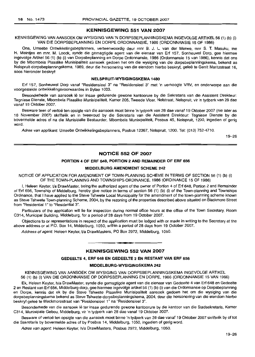## KENNISGEWING 551 VAN 2007

KENNISGEWING VAN AANSOEK OM WYSIGING VAN 'N DORPSBEPLANNINGSKEMA INGEVOLGE ARTIKEL 56 (1) (b) (i) VAN DIE DORPSBEPLANNING EN DORPE ORDONNANSIE, 1986 (ORDONNANSIE 15 OF 1986)

Ons, Umsebe Ontwikkelingsbeplanners, verteenwoordig deur mnr B. J. L. van der Merwe, mnr S. T. Masuku, me H. Meintjes en mnr. M. Loock, synde die gemagtigde agent van die eienaar van Erf 157, Sonheuwel Dorp, gee hiermee ingevolge Artikel56 (1) (b) (i) van Dorpsbeplanning en Dorpe Ordonnansie, 1986 (Ordonnansie 15 van 1986), kennis dat ons by die Mbombela Plaaslike Munisipaliteit aansoek gedoen het om die wysiging van die dorpsbeplanningskema, bekend as Nelspruit-dorpsbeplanningskema, 1989, deur die hersonering van die eiendom hierbo beskryf, gelee te Gerrit Maritzstraat 16, soos hieronder beskryf:

#### NELSPRUIT-WYSIGINGSKEMA 1480

Erf 157, Sonheuwel Dorp vanaf "Residensieel 3" na "Residensieel 3" met 'n verhoogte VRV, en onderworpe aan die voorgestelde ontwikkelingsvoorwaardes in Bylae 1033.

Besonderhede van aansoek lê ter insae gedurende gewone kantoorure by die Sekretaris van die Assistent Direkteur: Tegniese Dienste, Mbombela Plaaslike Munisipaliteit, Kamer 205, Tweede Vloer, Nelstraat, Nelspruit, vir 'n tydperk van 28 dae vanaf 19 Oktober 2007.

Besware teen of vertoë ten opsigte van die aansoek moet binne 'n tydperk van 28 dae vanaf 19 Oktober 2007 (nie later as 16 November 2007) skriftelik en in tweevoud by die Sekretaris van die Assistent Direkteur: Tegniese Dienste by die bovermelde adres of na die Munisipalie Bestuurder, Mbombela Munisipaliteit, Posbus 45, Nelspruit, 1200, ingedien of gerig word.

Adres van applikant: Umsebe Ontwikkelingsbeplanners, Posbus 12367, Nelspruit, 1200. Tel: (013) 752-4710.

19-26

## NOTICE 552 OF 2007

#### PORTION 4 OF ERF 648, PORTION 2 AND REMAINDER OF ERF 656

#### MIDDELBURG AMENDMENT SCHEME 242

NOTICE OF APPLICATION FOR AMENDMENT OF TOWN-PLANNING SCHEME IN TERMS OF SECTION 56 (1) (b) (i) OF THE TOWN-PLANNING AND TOWNSHIPS ORDINANCE, 1986 (ORDINANCE 15 OF 1986)

I, Heleen Keyter, Va DrawMaster, being the authorized agent of the owner of Portion 4 of Erf 648, Portion 2 and Remainder of Erf 656, Township of Middelburg, hereby give notice in terms of section 56 (1) (b) (i) of the Town-planning and Townships Ordinance, that I have applied to the Steve Tshwete Local Municipality for the amendment of the town-planning scheme known as Steve Tshwete Town-planning Scheme, 2004, by the rezoning of the properties described above situated on Blackmore Street from "Residential 1" to "Residential 3".

Particulars of the application will lie for inspection during normal office hours at the office of the Town Secretary, Room C314, Municipal Building, Middelburg, for a period of 28 days from 19 October 2007.

Objections to or representations in respect of the application must be lodged with or made in writing to the Secretary at the above address or at P.O. Box 14, Middelburg, 1050, within a period of 28 days from 19 October 2007.

Address of agent: Heleen Keyter, Va DrawMasters, PO Box 2972, Middelburg, 1050.

## **•** KENNISGEWING 552 VAN 2007

#### GEDEELTE 4, ERF 648 EN GEDEELTE 2 EN RESTANT VAN ERF 656

#### MIDDELBURG·WYSIGINGSKEMA 242

KENNISGEWING VAN AANSOEK OM WYSIGING VAN DORPSBEPLANNINGSKEMA INGEVOLGE ARTIKEL 56 (1) (b) (i) VAN DIE ORDONNANSIE OP DORPSBEPLANNING EN DORPE, 1986 (ORDONNANSIE 15 VAN 1986)

Ek, Heleen Keyter, h/a DrawMaster, synde die gemagtigde agent van die eienaar van Gedeelte 4 van Erf 648 en Gedeelte 2 en Restant van Erf 656, Middelburg-dorp, gee hiermee ingevolge artikel56 (1) (b) (i) van die Ordonnansie op Dorpsbeplanning en Dorpe, kennis dat ek by die Steve Tshwete Plaaslike Munisipaliteit aansoek gedoen het am die wysiging van die dorpsbeplanningskema bekend as Steve Tshwete-dorpsbeplanningskema, 2004, deur die hersonering van die eiendom hierbo beskryf gelee te Blackmorestraat van "Residensieel 1" na "Residensieel 3".

Besonderhede van die aansoek lê ter insae gedurende gewone kantoorure by die kantoor van die Stadsekretaris, Kamer C314, Munisipale Gebou, Middelburg, vir 'n tydperk van 28 dae vanaf 19 Oktober 2007.

Besware of vertoë ten opsigte van die aansoek moet binne 'n tydperk van 28 dae vanaf 19 Oktober 2007 skriftelik by of tot die Sekretaris by bovermelde adres of by Posbus 14, Middelburg, 1050, ingedien of gerig word.

Adres van agent: Heleen Keyter, h/a DrawMasters, Posbus 2972, Middelburg, 1050.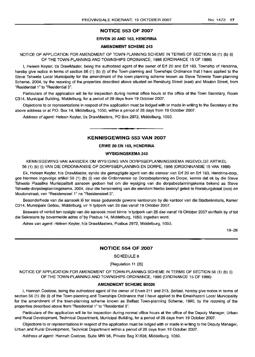## NOTICE 553 OF 2007

## ERVEN 20 AND 163, HENDRINA

#### AMENDMENT SCHEME 243

NOTICE OF APPLICATION FOR AMENDMENT OF TOWN-PLANNING SCHEME IN TERMS OF SECTION 56 (1) (b) (i) OF THE TOWN-PLANNING AND TOWNSHIPS ORDINANCE, 1986 (ORDINANCE 15 OF 1986)

I, Heleen Keyter, 1/a DrawMaster, being the authorized agent of the owner of Erf 20 and Erf 163, Township of Hendrina, hereby give notice in terms of section 56 (1) (b) (i) of the Town-planning and Townships Ordinance that I have applied to the Steve Tshwete Local Municipality for the amendment of the town-planning scheme known as Steve Tshwete Town-planning Scheme, 2004, by the rezoning of the properties described above situated on Rensburg Street (east) and Mouton Street, from "Residential 1" to "Residential 3".

Particulars of the application will lie for inspection during normal office hours at the office of the Town Secretary, Room C314, Municipal Building, Middelburg, for a period of 28 days from 19 October 2007.

Objections to or representations in respect of the application must be lodged with or made in writing to the Secretary at the above address or at P.O. Box 14, Middelburg, 1050, within a period of 28 days from 19 October 2007.

Address of agent: Heleen Keyter, t/a DrawMasters, PO Box 2972, Middelburg, 1050.

## **•** KENNISGEWING 553 VAN 2007

#### ERWE 20 EN 163, HENDRINA

#### WYSIGINGSKEMA 243

KENNISGEWING VAN AANSOEK OM WYSIGING VAN DORPSBEPLANNINGSKEMA INGEVOLGE ARTIKEL 56 (1) (b) (i) VAN DIE ORDONNANSIE OP DORPSBEPLANNING EN DORPE, 1986 (ORDONNANSIE 15 VAN 1986)

Ek, Heleen Keyter, hla DrawMaster, synde die gemagtigde agent van die eienaar van Erf 20 en Erf 163, Hendrina-dorp, gee hiermee ingevolge artikel 56 (1) (b) (i) van die Ordonnansie op Dorpsbeplanning en Dorpe, kennis dat ek by die Steve Tshwete Plaaslike Munisipaliteit aansoek gedoen het om die wysiging van die dorpsbeplanningskema bekend as Steve Tshwete-dorpsbeplanningskema, 2004, deur die hersonering van die eiendom hierbo beskryf gelee te Rensburgstraat (oos) en Moutonstraat, van "Residensieel 1" na "Residensieel 3".

Besonderhede van die aansoek lê ter insae gedurende gewone kantoorure by die kantoor van die Stadsekretaris, Kamer C314, Munisipale Gebou, Middelburg, vir 'n tydperk van 28 dae vanaf 19 Oktober 2007.

Besware of vertoe ten opsigte van die aansoek moet binne 'n tydperk van 28 dae vanaf 19 Oktober 2007 skriftelik by of tot die Sekretaris by bovermelde adres of by Posbus 14, Middelburg, 1050, ingedien word.

Adres van agent: Heleen Keyter, h/a DrawMasters, Posbus 2972, Middelburg, 1050.

19-26

#### NOTICE 554 OF 2007

SCHEDULE 8

[Regulation 11 (2)]

NOTICE OF APPLICATION FOR AMENDMENT OF TOWN-PLANNING SCHEME IN TERMS OF SECTION 56 (1) (b) (i) OF THE TOWN-PLANNING AND TOWNSHIPS ORDINANCE, 1986 (ORDINANCE 15 OF 1986)

#### AMENDMENT SCHEME B0026

I, Hannah Coetzee, being the authorized agent of the owner of Erven 211 and 213, Belfast, hereby give notice in terms of section 56 (1) (b) (i) of the Town-planning and Townships Ordinance that I have applied to the Emakhazeni Local Municipality for the amendment of the town-planning scheme known as Belfast Town-planning Scheme, 1990, by the rezoning of the properties described above from "Residential 1" to "Residential 3".

Particulars of the application will lie for inspection during normal office hours at the office of the Deputy Manager, Urban and Rural Development, Technical Department, Municipal Building, for a period of 28 days from 19 October 2007.

Objections to or representations in respect of the application must be iodged with or made in writing to the Deputy Manager, Urban and Rural Development, Technical Department within a period of 28 days from 19 October 2007.

Address of agent: Hannah Coetzee, Suite MW 56, Private Bag X1838, Middelburg, 1050.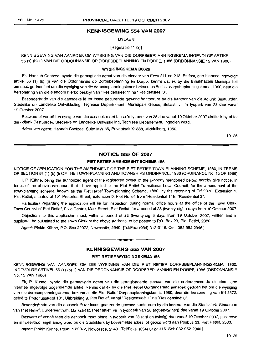## **KENNISGEWING 554 VAN 2007**

BYLAE 8

[Regulasie 11 (2)]

## KENNISGEWING VAN AANSOEK OM WYSIGING VAN DIE DORPSBEPLANNINGSKEMA INGEVOLGE ARTIKEL 56 (1) (b) (i) VAN DIE ORDONNANSIE OP DORPSBEPLANNING EN DORPE, 1986 (ORDONNANSIE 15 VAN 1986)

#### **WYSIGINGSKEMA 80026**

Ek, Hannah Coetzee, synde die gemagtigde agent van die eienaar van Erwe 211 en 213, Belfast, gee hiermee ingevolge artikel 56 (1) (b) (i) van die Ordonnansie op Dorpsbeplanning en Darpe, kennis dat ek by die Emakhazeni Munisipaliteit aansoek gedoen het om die wysiging van die dorpsbeplanningskema bekend as Belfast-dorpsbeplanningskema, 1990, deur die hersonering van die eiendom hierbo beskryf van "ResidensieeI 1" na "ResidensieeI 3".

Besonderhede van die aansoeke lê ter insae gedurende gewone kantoorure by die kantoor van die Adjunk Bestuurder, Stedelike en Landelike Ontwikkeling, Tegniese Departement, Munisipale Gebou, Belfast, vir 'n tydperk van 28 dae vanaf 19 Oktober 2007.

Besware of vertoë ten opsigte van die aansoek moet binne 'n tydperk van 28 dae vanaf 19 Oktober 2007 skriftelik by of tot die Adjunk Bestuurder, Stedelike en Landelike Ontwikkeling, Tegniese Departement, ingedien word.

Adres van agent: Hannah Coetzee, Suite MW 56, Privaatsak X1838, Middelburg, 1050.

19-26

## **NOTICE 555 OF 2007**

#### **PIET RETIEF AMENDMENT SCHEME** 156

NOTICE OF APPLICATION FOR THE AMENDMENT OF THE PIET RETIEF TOWN-PLANNING SCHEME, 1980, IN TERMS OF SECTION 56 (1) (b) (i) OF THE TOWN-PLANNING AND TOWNSHIPS ORDINANCE, 1986 (ORDINANCE No. 15 OF 1986)

I, P Kuhne, being the authorized agent of the registered owner of the property mentioned below, hereby give notice, in terms of the above ordinance, that I have applied to the Piet Retief Transitional Local Council, for the amendment of the town-planning scheme, known as the Piet Retief Town-planning Scheme, 1980, by the rezoning of Erf 2372, Extension 9, Piet Retief, situated at 101 Pretorius Street, Extension 9, Piet Retief, from "Residential 1" to "Residential 3".

Particulars regarding the application will iie for inspection during normai office hours at the office of the Town Clerk, Town Council of Piet Retief, Civic Centre, Mark Street, Piet Retief, for a period of 28 (twenty-eight) days from 19 October 2007.

Objections to this application must, within a period of 28 (twenty-eight) days from 19 October 2007, written and in duplicate, be submitted to the Town Clerk at the above address, or be posted to PO. Box 23, Piet Retief, 2380.

Agent: Pinkie Kuhne, P.O. Box 22072, Newcastle, 2940. [Tel/Fax: (034) 312-3116. Cell: 082 952 2946.]

## **KENNISGEWING 555 VAN 2007**

**1 \_**

#### **PIET RETIEF WYSIGINGSKEMA** 156

KENNISGEWING VAN AANSOEK OM DIE WYSIGING VAN DIE PIET RETIEF DORPSBEPLANNINGSKEMA, 1980, INGEVOLGE ARTIKEL 56 (1) (b) (i) VAN DIE ORDONNANSIE OP DORPSBEPLANNING EN DORPE, 1986 (ORDONNANSIE No. 15 VAN 1986)

Ek, P. Kuhne, synde die gemagtigde agent van die geregistreerde eienaar van die ondergenoemde eiendom, gee hiermee, ingevolge bogenoemde artikel, kennis dat ek by die Piet Retief Oorgangsraad aansoek gedoen het om die wysiging van die darpsbeplanningskema, bekend as die Piet Retief Dorpsbeplanningskema, 1980, deur die hersonering van Erf 2372, geleë te Pretoriusstraat 101, Uitbreiding 9, Piet Retief, vanaf "Residensieël 1" na "Residensieël 3".

Besonderhede van die aansoek Ie ter insae gedurende gewone kantoorure by die kantoor van die Stadsklerk, Stadsraad van Piet Retief, Burgersentrum, Markstraat, Piet Retief, vir 'n tydpderk van 28 (agt-en-twintig) dae vanaf 19 Oktober 2007.

Besware of vertoe teen die aansoek moet binne 'n tydperk van 28 (agt-en-twintig) dae vanaf 19 Oktober 2007, geskrewe en in tweevoud, ingehandig ward bu die Stadsklerk by bovermelde adres, of gepos word aan Posbus 23, Piet Retief, 2380.

Agent: Pinkie Kühne, Posbus 22072, Newcastle, 2940. [Tel/Faks: (034) 312-3116. Sel: 082 952 2946.]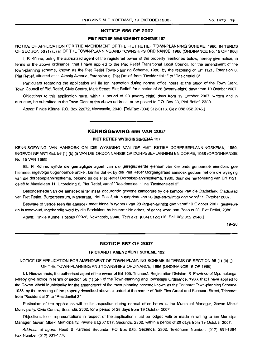### NOTICE 556 OF 2007

#### PIET RETIEF AMENDMENT SCHEME 157

NOTICE OF APPLICATION FOR THE AMENDMENT OF THE PIET RETIEF TOWN-PLANNING SCHEME, 1980, IN TERMS OF SECTION 56 (1) (b) (i) OF THE TOWN-PLANNING AND TOWNSHIPS ORDINANCE, 1986 (ORDINANCE No. 15 OF 1986)

I, P. Kühne, being the authorized agent of the registered owner of the property mentioned below, hereby give notice, in terms of the above ordinance, that I have applied to the Piet Retief Transitional Local Council, for the amendment of the town-planning scheme, known as the Piet Retief Town-planning Scheme, 1980, by the rezoning of Erf 1121, Extension 6, Piet Relief, situated at 11 Akasia Avenue, Extension 6, Piet Retief, from "Residential 1" to "Residential 3".

Particulars regarding the application will lie for inspection during normal office hours at the office of the Town Clerk, Town Council of Piet Retief, Civic Centre, Mark Street, Piet Retief, for a period of 28 (twenty-eight) days from 19 October 2007.

Objections to this application must, within a period of 28 (twenty-eight) days from 19 October 2007, written and in duplicate, be submitted to the Town Clerk at the above address, or be posted to P.O. Box 23, Piet Retief, 2380.

Agent: Pinkie Kühne, P.O. Box 22072, Newcastle, 2940. [Tel/Fax: (034) 312-3116. Cell: 082 952 2946.]

## KENNISGEWING 556 VAN 2007

**•**

## PIET RETIEF WYSIGINGSKEMA 157

KENNISGEWING VAN AANSOEK OM DIE WYSIGING VAN DIE PIET RETIEF DORPSBEPLANNINGSKEMA, 1980, lNGEVOLGE ARTIKEL56 (1) (b) (i) VAN DIE ORDONNANSIE OP DORPSBEPLANNING EN DORPE, 1986 (ORDONNANSIE No. 15 VAN 1986)

Ek, P. KOhne, synde die gemagtigde agent van die geregistreerde eienaar van die ondergenoemde eiendom, gee hiermee, ingevolge bogenoemde artikel, kennis dat ek by die Piet Retief Oorgangsraad aansoek gedoen het om die wysiging van die dorpsbeplanningskema, bekend as die Piet Retief Dorpsbeplanningskema, 1980, deur die hersonering van Erf 1121, geleë te Akasialaan 11, Uitbreiding 6, Piet Retief, vanaf "Residensieel 1" na "Residensieel 3".

Besonderhede van die aansoek lê ter insae gedurende gewone kantoorure by die kantoor van die Stadsklerk, Stadsraad van Piet Relief, Burgersenlrum, Markstraat, Piet Relief, vir 'n tydpderk van 28 (agt-en-twinlig) dae vanaf 19 Oktober 2007.

Besware of vertoë teen die aansoek moet binne 'n tydperk van 28 (agt-en-twintig) dae vanaf 19 Oktober 2007, geskrewe en in tweevoud, ingehandig word by die Stadsklerk by bovermelde adres, of gepos word aan Posbus 23, Piet Relief, 2380.

Agent: Pinkie Kühne, Posbus 22072, Newcastle, 2940. [Tel/Faks: (034) 312-3116. Sel: 082 952 2946.]

19-26

#### NOTICE 557 OF 2007

## TRICHARDT AMENDMENT SCHEME 122

NOTICE OF APPLICATION FOR AMENDMENT OF TOWN-PLANNING SCHEME IN TERMS OF SECTION 56 (1) (b) (i) OF THE TOWN-PLANNING AND TOWNSHIPS ORDINANCE, 1986 (ORDINANCE 15 OF 1986)

I, L Nieuwenhuis, the authorised agent of the owner of Erf 105, Trichardt, Registration Division IS, Province of Mpumalanga, hereby give notice in terms of section 56 (1)(b)(i) of the Town-planning and Townships Ordinance, 1986, that I have applied to the Govan Mbeki Municipality for the amendment of the town-planning scheme known as the Trichardt Town-planning Scheme, 1988, by the rezoning of the property described above, situated at the corner of Ruth First Street and Schabort Street, Trichardt, from "Residential 2" to "Residential 3".

Particulars of the application will lie for inspection during normal office hours at the Municipal Manager, Govan Mbeki Municipality, Civic Centre, Secunda, 2302, for a period of 28 days from 19 October 2007.

Objections to or representations in respect of the application must be lodged with or made in writing to the Municipal Manager, Govan Mbeki Municipality, Private Bag X1017, Secunda, 2302, within a period of 28 days from 19 October 2007.

Address of agent: Reed & Partners Secunda, PO Box 985, Secunda, 2302. Telephone Number: (017) 631-1394. Fax Number (017) 631-1770.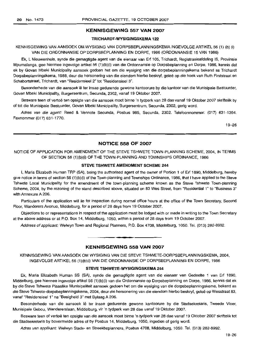#### **KENNISGEWING 557 VAN 2007**

## **TRICHARDT-WYSIGINGSKEMA 122**

KENNISGEWING VAN AANSOEK OM WYSIGING VAN DORPSBEPLANNINGSKEMA INGEVOLGE ARTIKEL 56 (1) (b) (i) VAN DIE ORDONNANSIE OP DORPSBEPLANNING EN DORPE, 1986 (ORDONNANSIE 15 VAN 1986)

Ek, L Nieuwenhuis, synde die gemagtigde agent van die eienaar van Erf 105, Trichardt, Registrasieafdeling IS, Provinsie Mpumalanga, gee hiermee ingevolge artikel 56 (1)(b)(i) van die Ordonnansie op Dorpsbeplanning en Dorpe, 1986, kennis dat ek by Govan Mbeki Municipality aansoek gedoen het om die wysiging van die dorpsbeplanningskema bekend as Trichardt Dorpsbeplanningskema, 1988, deur die hersonering van die eiendom hierbo beskryf, gelee op die hoek van Ruth Firststraat en Schabortstraat, Trichardt, van "Residensieel 2" tot "Residensieel 3".

Besonderhede van die aansoek lê ter insae gedurende gewone kantoorure by die kantoor van die Munisipale Bestuurder, Govan Mbeki Municipality, Burgersentrum, Secunda, 2302, vanaf 19 Oktober 2007.

Besware teen of vertoe ten opsigte van die aansoek moet binne 'n tydperk van 28 dae vanaf 19 Oktober 2007 skriftelik by of tot die Munisipale Bestuurder, Govan Mbeki Municipality, Burgersentrum, Secunda, 2302, gerig word.

Adres van die agent: Reed & Vennote Secunda, Posbus 985, Secunda, 2302. Telefoonnommer: (017) 631-1394. Faxnommer (017) 631-1770.

19-26

#### **NOTICE 558 OF 2007**

NOTICE OF APPLICATION FOR AMENDMENT OF THE STEVE TSHWETE TOWN-PLANNING SCHEME, 2004, IN TERMS OF SECTION 56 (1)(b)(i) OF THE TOWN-PLANNING AND TOWNSHIPS ORDINANCE, 1986

#### **STEVE TSHWETE AMENDMENT SCHEME 244**

I, Maria Elizabeth Human TRP (SA), being the authorised agent of the owner of Portion 1 of Erf 1890, Middelburg, hereby give notice in terms of section 56 (1)(b)(i) of the Town-planning and Townships Ordinance, 1986, that I have applied to the Steve Tshwete Local Municipality for the amendment of the town-planning scheme known as the Steve Tshwete Town-planning Scheme, 2004, by the rezoning of the stand described above, situated on 83 Wes Street, from "Residential 1" to "Business 3" with Annexure A 206.

Particulars of the application will lie for inspection during normal office hours at the office of the Town Secretary, Second Floor, Wanderers Avenue, Middelburg, for a period of 28 days from 19 October 2007.

Objections to or representations in respect of the application must be lodged with or made in writing to the Town Secretary at the above address or at P.O. Box 14, Middelburg, 1050, within a period of 28 days from 19 October 2007.

Address of applicant: Welwyn Town and Regional Planners, P.O. Box 4708, Middelburg, 1050. Tel. (013) 282-8992.

#### **KENNISGEWING 558 VAN 2007**

**•**

KENNISGEWING VAN AANSOEK OM WYSIGING VAN DIE STEVE TSHWETE-DORPSBEPLANNINGSKEMA, 2004, INGEVOLGE ARTIKEL 56 (1)(b)(i) VAN DIE ORDONNANSIE OP DORPSBEPLANNING EN DORPE, 1986

## **STEVE TSHWETE-WYSIGINGSKEMA 244**

Ek, Maria Elizabeth Human SS (SA), synde die gemagtigde agent van die eienaar van Gedeelte 1 van Erf 1890, Middelburg, gee hiermee ingevolge artikel 56 (1 )(b)(i) van die Ordonnansie op Dorpsbeplanning en Dorpe, 1986, kennis dat ek by die Steve Tshwete Plaaslike Munisipaliteit aansoek gedoen het am die wysiging van die dorpsbeplanningskema, bekend as die Steve Tshwete-dorpsbeplanningskema, 2004, deur die hersonering van die eiendom hierbo beskryf, gelee op Wesstraat 83, vanaf "Residensieel 1" na "Besigheid 3" met Bylaag A 206.

Besonderhede van die aansoek lê ter insae gedurende gewone kantoorure by die Stadsekretaris, Tweede Vloer, Munisipale Gebou, Wandererstaan, Middelburg, vir 'n tydperk van 28 dae vanaf 19 Oktober 2007.

Besware teen of vertoë ten opsigte van die aansoek moet binne 'n tydperk van 28 dae vanaf 19 Oktober 2007 skriftelik tot die Stadsekretaris by bovermelde adres of by Posbus 14, Middelburg, 1050, ingedien of gerig word.

Adres van applikant: Welwyn Stads- en Streekbepianners, Posbus 4708, Middelburg, 1050. Tel. (013) 282-8992.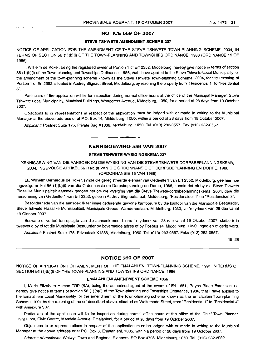### **NOTICE** 559 **OF** 2007

 $\overline{a}$ 

#### STEVE TSHWETE AMENDMENT SCHEME 237

NOTICE OF APPLICATION FOR THE AMENDMENT OF THE STEVE TSHWETE TOWN-PLANNING SCHEME, 2004, IN TERMS OF SECTION 56 (1)(b)(i) OF THE TOWN-PLANNING AND TOWNSHIPS ORDINANCE, 1986 (ORDINANCE 15 OF 1986)

I, Wilhelm de Koker, being the registered owner of Portion 1 of Erf 2352, Middelburg, hereby give notice in terms of section 56 (1)(b)(i) of the Town-planning and Townships Ordinance, 1986, that I have applied to the Steve Tshwete Local Municipality for the amendment of the town-planning scheme known as the Steve Tshwete Town-planning Scheme, 2004, for the rezoning of Portion 1 of Erf 2352, situated in Audrey Biignaut Street, Middelburg, by rezoning the property from "Residential 1" to "Residential 3".

Particulars of the appiication will lie for inspection during normal office hours at the office of the Municipal Manager, Steve Tshwete Local Municipality, Municipal Buildings, Wanderers Avenue, Middelburg, 1050, for a period of 28 days from 19 October 2007.

Objections to or representations in respect of the application must be lodged with or made in writing to the Municipal Manager at the above address or at P.O. Box 14, Middelburg, 1050, within a period of 28 days from 19 October 2007.

Applicant: Postnet Suite 175, Private Bag X1866, Middelburg, 1050. Tel. (013) 282-0557. Fax (013)282-0557.

## **KENNISGEWING** 559 **VAN** 2007

**•**

#### STEVE TSHWETE-WYSIGINGSKEMA 237

KENNISGEWING VAN DIE AANSOEK OM DIE WYSIGING VAN DIE STEVE TSHWETE-DORPSBEPLANNINGSKEMA, 2004, INGEVOLGE ARTIKEL 56 (1 )(b)(i) VAN DIE ORDONNANSIE OP DORPSBEPLANNING EN DORPE, 1986 (ORDONNANSIE 15 VAN 1986)

Ek, Wilhelm Bernardus de Koker, synde die geregistreerde eienaar van Gedeelte 1 van Erf 2352, Middelburg, gee hiermee ingevolge artikel 56 (1)(b)(i) van die Ordonnansie op Dorpsbeplanning en Dorpe, 1986, kennis dat ek by die Steve Tshwete Plaaslike Munisipaliteit aansoek gedoen het om die wysiging van die Steve Thswete-dorpsbeplanningskema, 2004, deur die hersonering van Gedeelte 1 van Erf 2352, geleë in Audrey Blignautstraat, Middelburg, "Residensieel 1" na "Residensieel 3".

Besonderhede van die aansoek lê ter insae gedurende gewone kantoorure by die kantoor van die Munisipale Bestuurder, Steve Tshwete Plaaslike Munisipaliteit, Munisipale Gebou, Wandererslaan, Middelburg, 1050, vir 'n tydperk van 28 dae vanaf 19 Oktober 2007.

Besware of vertoë ten opsigte van die aansoek moet binne 'n tydperk van 28 dae vanaf 19 Oktober 2007, skriftelik in tweevoud by of tot die Munisipale Bestuurder by bovermelde adres of by Posbus 14, Middelburg, 1050, ingedien of gerig word.

Applikant: Postnet Suite 175, Privaatsak X1866, Middelburg, 1050. Tel. (013) 282-0557. Faks (013) 282-0557.

19-26

#### **NOTICE** 560 **OF** 2007

NOTICE OF APPLICATION FOR AMENDMENT OF THE EMALAHLENI TOWN-PLANNING SCHEME, 1991 IN TERMS OF SECTION 56 (1)(b)(i) OF THE TOWN-PLANNING AND TOWNSHIPS ORDINANCE, 1986

#### EMALAHLENI AMENDMENT SCHEME 1066

I, Maria Elizabeth Human TRP (SA), being the authorised agent of the owner of Erf 1851, Reyno Ridge Extension 17, hereby give notice in terms of section 56 (1)(b)(i) of the Town-planning and Townships Ordinance, 1986, that I have applied to the Emalahleni Local Municipality for the amendment of the town-planning scheme known as the Emalahleni Town-planning Scheme, 1991 by the rezoning of the erf described above, situated on Woltemade Street, from "Residential 1" to "Residential 4" with Annexure 367.

Particulars of the application will lie for inspection during normal office hours at the office of the Chief Town Planner, Third Floor, Civic Centre. Mandela Avenue, Emalahleni, for a period of 28 days from 19 October 2007.

Objections to or representations in respect of the application must be lodged with or made in writing to the Municipal Manager at the above address or at P.O. Box 3, Emalahleni, 1035, within a period of 28 days from 19 October 2007.

Address of applicant: Welwyn Town and Regional Planners. PO Box 4708, Middelburg, 1050. Tel. (013) 282-8992.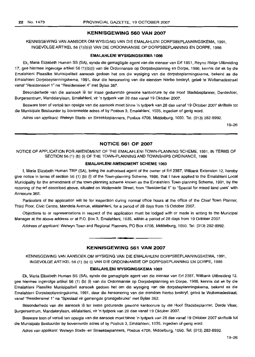## **KENNISGEWING 560 VAN 2007**

KENNISGEWING VAN AANSOEK OM WYSIGING VAN DIE EMALAHLENI DORPSBEPLANNINGSKEMA, 1991, INGEVOLGEARTIKEL56 (1)(b)(i) VAN DIE ORDONNANSIE OP DORPSBEPLANNING EN DORPE, 1986

#### **EMALAHLENI WYSIGINGSKEMA** 1066

Ek, Maria Elizabeth Human SS (SA), synde die gemagtigde agent van die eienaar van Ert 1851, Reyno Ridge Uitbreiding 17, gee hiermee ingevolge artikel 56 (1)(b)(i) van die Ordonnansie op Dorpsbeplanning en Dorpe, 1986, kennis dat ek by die Emalahleni Plaaslike Munisipaliteit aansoek gedoen het om die wysiging van die dorpsbeplanningskema, bekend as die Emalahleni Dorpsbeplanningskema, 1991, deur die hersonering van die eiendom hierbo beskryf, gelee te Woltemadestraat vanaf "ResidensieeI1" na "ResidensieeI4" met Bylae 367.

Besonderhede van die aansoek lê ter insae gedurende gewone kantoorure by die Hoof Stadsbeplanner, Derdevloer, Burgersentrum, Mandelarylaan, Emalahleni, vir 'n tydperk van 28 dae vanaf 19 Oktober 2007.

Besware teen of vertoë ten opsigte van die aansoek moet binne 'n tydperk van 28 dae vanaf 19 Oktober 2007 skriftelik tot die Munisipale Bestuurder by bovermelde adres of by Posbus 3, Emalahleni, 1035, ingedien of gerig word.

Adres van applikant: Welwyn Stads- en Streekbeplanners, Posbus 4708, Middelburg, 1050. Tel. (013) 282-8992.

19-26

## **NOTICE 561 OF 2007**

NOTICE OF APPLICATION FOR AMENDMENT OF THE EMALAHLENI TOWN-PLANNING SCHEME, 1991, IN TERMS OF SECTION 56 (1) (b) (i) OF THE TOWN-PLANNING AND TOWNSHIPS ORDINANCE, 1986

#### **EMALAHLENI AMENDMENT SCHEME** 1063

I, Maria Elizabeth Human TRP (SA), being the authorised agent of the owner of Ert 2387, Witbank Extension 12, hereby give notice in terms of section 56 (1) (b) (i) of the Town-planning Scheme, 1986, that I have applied to the Emalahleni Local Municipality for the amendment of the town-planning scheme known as the Emalahleni Town-planning Scheme, 1991, by the rezoning of the ert described above, situated on Woltemade Street, from "Residential 1" to "Special for mixed land uses" with Annexure 362.

Particulars of the application will lie for inspection during normal office hours at the office of the Chief Town Planner, Third Floor, Civic Centre, Mandela Avenue, eMalahleni, for a period of 28 days from 19 October 2007.

Objections to or representations in respect of the application must be lodged with or made in writing to the Municipal Manager at the above address or at P.O. Box 3, Emalahleni, 1035, within a period of 28 days from 19 October 2007.

Address of applicant: Welwyn Town and Regional Planners, PO Box 4708, Middelburg, 1050. Tel: (013) 282-8992.

#### **KENNISGEWING 561 VAN 2007**

**•**

KENNISGEWING VAN AANSOEK OM WYSIGING VAN DIE EMALAHLENI DORPSBEPLANNINGSKEMA, 1991, INGEVOLGE ARTIKEL 56 (1) (b) (i) VAN DIE ORDONNANSIE OP DORPSBEPLANNING EN DORPE, 1986

#### **EMALAHLENI WYSIGINGSKEMA** 1063

Ek, Maria Elizabeth Human SS (SA), synde die gemagtigde agent van die eienaar van Erf 2387, Witbank Uitbreiding 12, gee hiermee ingevolge artikel 56 (1) (b) (i) van die Ordonnansie op Dorpsbeplanning en Dorpe, 1986, kennis dat ek by die Emalahleni Plaaslike Munisipaliteit aansoek gedoen het om die wysiging van die dorpsbeplanningskema, bekend as die Emalahleni Dorpsbeplanningskema, 1991, deur die hersonering van die eiendom hierbo beskryf, gelee te Woltemadestraat, vanaf "Residensieel 1" na "Spesiaal vir gemengde grondgebruike" met Bylae 362.

Besonderhede van die aansoek lê ter insae gedurende gewone kantoorure by die Hoof Stadsbeplanner, Derde Vloer, Burgersentrum, Mandelarylaan, eMalahleni, vir 'n tydperk van 28 dae vanaf 19 Oktober 2007.

Besware teen of vertoë ten opsigte van die aansoek moet binne 'n tydperk van 28 dae vanaf 19 Oktober 2007 skriftelik tot die Munisipale Bestuurder by bovermelde adres of by Posbus 3, Emalahleni, 1035, ingedien of gerig word.

Adres van applikant: Welwyn Stads- en Streekbeplanners, Posbus 4708, Middelburg, 1050. Tel: (013) 282-8992.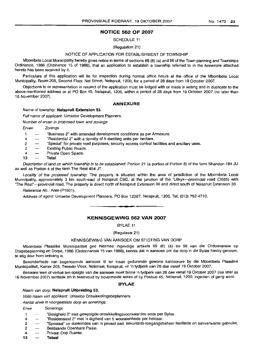## **NOTICE 562 OF 2007**

SCHEDULE 11

(Regulation 21)

#### NOTICE OF APPLICATION FOR ESTABLISHMENT OF TOWNSHIP

Mbombela Local Municipality hereby gives notice in terms of sections 69 (6) (a) and 96 of the Town-planning and Townships Ordinance, 1986 (Ordinance 15 of 1986), that an application to establish a township referred to in the Annexure attached hereto has been received by it.

Particulars of this application will lie for inspection during normal office hours at the office of the Mbombela Local Municipality, Room 205, Second Floor, Nel Street, Nelspruit, 1200, for a period of 28 days from 19 October 2007.

Objections to or representation in respect of the application must be lodged with or made in writing and in duplicate to the above-mentioned address or at PO Box 45, Nelspruit, 1200, within a period of 28 days from 19 October 2007 (no later than 16 November 2007).

#### **ANNEXURE**

#### Name of township: **Nelspruit Extension** 53.

Full name of applicant: Umsebe Development Planners.

Number of erven in proposed town and zonings:

Erven Zonings

- 1 "Business 2" with amended development conditions as per Annexure.
- 4 "Residential 2" with a density of 5 dwelling units per hectare.
- 2 "Special" for private road purposes, security access control facilities and ancillary uses.
- 2 Existing Public Roads.
- 4 Private Open Space.
- **13 Total**

Description of land on which township is to be established: Portion 21 (a portion of Portion 8) of the farm Shandon 194 JU as well as Portion 4 of the farm The Rest 454 JT

Locality of the proposed township: The property is situated within the area of jurisdiction of the Mbombela Local Municipality, approximately 3 km south-east of Nelspruit CBD, at the junction of the "Uitkyk-provincial road (0585) with "The Rest"-provincial road. The property is direct north of Nelspruit Extension 36 and direct south of Nelspruit Extension 33.

Reference No.: Anel-(P1601).

Address of agent: Umsebe Development Planners, PO Box 12367, Nelspruit, 1200. Tel: (013) 752-4710.

## **KENNISGEWING 562 VAN 2007**

**• •**

BYLAE 11

(Regulasie 21)

#### KENNISGEWING VAN AANSOEK OM STIGTING VAN DORP

Mbombela Plaaslike Munisipaliteit gee hiermee ingevolge artikels 69 (6) (a) en 96 van die Ordonnansie op Dorpsbeplanning en Dorpe, 1986 (Ordonnansie 15 van 1986), kennis dat 'n aansoek om die dorp in die Bylae hierby genoem, te stig deur hom ontvang is.

Besonderhede van bogenoemde aansoek lê ter insae gedurende gewone kantoorure by die Mbombela Plaaslike Munisipaliteit, Kamer 205, Tweede Vloer, Nelstraat, Nelspruit, vir 'n tydperk van 28 dae vanaf 19 Oktober 2007.

Besware teen of vertoë ten opsigte van die aansoek moet binne 'n tydperk van 28 dae vanaf 19 Oktober 2007 (nie later as 16 November 2007) skrittelik en in tweevoud by bovermelde adres of by Posbus 45, Nelspruit, 1200, ingedien of gerig word.

#### **BYLAE**

Naam van dorp: **Nelspruit Uitbreiding** 53.

Volle naam van applikant: Umsebe Ontwikkelingsbeplanners.

Aantal erwe in voorgestelde dorp en sonerings:

#### Erwe Sonerings

- 1 Sesigheid 2" met gewysigde ontwikkelingsvoorwaardes soos per Bylae.
- 4 "Residensieel 2" met 'n digtheid van 5 wooneenhede per hektaar.
- 2 "Spesiaal" vir doeleindes van 'n privaat pad, sekuriteits-toegangsbeheer fasiliteite en aanverwante gebruike.
- 2 Bestaande Openbare Paaie.
- 4 Privaat Oop Ruimte.
- **13 Tolaal**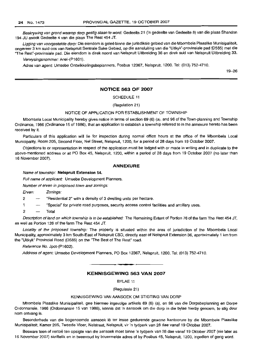Beskrywing van grond waarop dorp gestig staan te word: Gedeelte 21 ('n gedeelte van Gedeelte 8) van die plaas Shandon 194 JU asook Gedeelte 4 van die plaas The Rest 454 JT.

Ligging van voorgestelde dorp: Die eiendom is geleë binne die jurisdiksie gebied van die Mbombela Plaaslike Munisipaliteit, ongeveer 3 km suid-oos van Nelspruit Sentrale Sake Gebied, op die aansluiting van die "Uitkyk"-provinsiale pad (D585) met die "The Rest"-provinsiale pad. Die eiendom is direk noord van Nelspruit Uitbreiding 36 en direk suid van Nelspruit Uitbreiding 33.

Verwysingsnommer: Anel-(P1601).

Adres van agent: Umsebe Ontwikkelingsbeplanners, Posbus 12367, Nelspruit, 1200. Tel: (013) 752-4710.

19-26

### **NOTICE 563 OF 2007**

SCHEDULE 11

(Regulation 21)

#### NOTICE OF APPLICATION FOR ESTABLISHMENT OF TOWNSHIP

Mbombela Local Municipality hereby gives notice in terms of section 69 (6) (a), and 96 of the Town-planning and Township Ordinance, 1986 (Ordinance 15 of 1986), that an application to establish a township referred to in the annexure hereto has been received by it.

Particulars of this application will lie for inspection during normal office hours at the office of the Mbombela Local Municipality, Room 205, Second Floor, Nel Street, Nelspruit, 1200, for a period of 28 days from 19 October 2007.

Objections to or representation in respect of the application must be lodged with or made in writing and in duplicate to the above-mentioned address or at PO Box 45, Nelspruit, 1200, within a period of 28 days from 19 October 2007 (no later than 16 November 2007).

#### **ANNEXURE**

#### Name of township: **Nelspruit Extension** 54.

Full name of applicant: Umsebe Development Planners.

Number of erven in proposed town and zonings:

Erven: Zonings:

- $2 \rightarrow$  "Residential 2" with a density of 3 dwelling units per hectare.
- 1 "Special" for private road purposes, security access control facilities and ancillary uses.
- 2 Total

Description of land on which township is to be established: The Remaining Extent of Portion 76 of the farm The Rest 454 JT, as well as Portion 126 of the farm The Rest 454 JT.

Locality of the proposed township: The property is situated within the area of jurisdiction of the Mbombela Local Municipality, approximately 3 km South-East of Nelspruit CBO, directly east of Nelspruit Extension 36, approximately 1 km from the "Uitkyk" Provincial Road (D585) on the "The Best of The Rest" road.

Reference No. Jpot-(P1602).

Address of agent: Umsebe Development Planners, PO Box 12367, Nelspruit, 1200. Tel: (013) 752-471D.

#### **KENNISGEWING 563 VAN 2007**

BYLAE 11

(Regulasie 21)

## KENNISGEWING VAN AANSOEK OM STIGTING VAN DORP

Mbombela Plaaslike Munisipaliteit, gee hiermee ingevolge artikels 69 (6) (a), en 96 van die Dorpsbeplanning en Dorpe Ordonnansie, 1986 (Ordonnansie 15 van 1986), kennis dat 'n aansoek om die dorp in die bylae hierby genoem, te stig deur hom ontvang is.

Besonderhede van die bogenoemde aansoek lê ter insae gedurende gewone kantoorure by die Mbombela Plaaslike Munisipaliteit, Kamer 205, Tweede Vloer, Nelstraat, Nelspruit, vir 'n tydperk van 28 dae vanaf 19 Oktober 2007.

Besware teen of vertoë ten opsigte van die aansoek moet binne 'n tydperk van 28 dae vanaf 19 Oktober 2007 (nie later as 16 November 2007) skriftelik en in tweevoud by bovermelde adres of by Posbus 45, Nelspruit, 1200, ingedien of gerig word.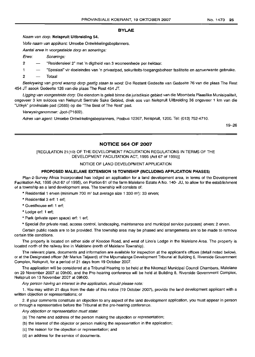## **BYLAE**

Naam van dorp: **Nelsprult Ultbreidlng** 54.

Volle naam van applikant: Umsebe Ontwikkelingsbeplanners.

Aantal erwe in voorgestelde dorp en sonerings:

- Erwe: Sonerings:
- 2 "Residensieel 2" met 'n digtheid van 3 wooneenhede per hektaar.
- 1 "Spesiaal" vir doeleindes van 'n privaatpad, sekuriteits-toegangsbeheer fasiliteite en aanverwante gebruike.
- 2 Totaal

Beskrywing van grond waarop dorp gestig staan te word: Die Restant Gedeelte van Gedeelte 76 van die plaas The Rest 454 JT asook Gedeelte 126 van die plaas The Rest 454 JT.

Ligging van voorgestelde dorp: Die eiendom is geleë binne die jurisdiksie gebied van die Mbombela Plaaslike Munisipaliteit, ongeveer 3 km suidoos van Nelspruit Sentrale Sake Gebied, direk 005 van Nelspruit Uitbreiding 36 ongeveer 1 km van die "Uitkyk" provinsiale pad (D585) op die "The Best of The Rest" pad.

Verwysingsnommer: Jpot-(P1602).

Adres van agent: Umsebe Ontwikkelingsbeplanners, Posbus 12367, Nelspruit, 1200. Tel: (013) 752-4710.

19-26

## **NOTICE 564 OF 2007**

#### [REGULATION 21(1 0) OF THE DEVELOPMENT FACILITATION REGULATIONS IN TERMS OF THE DEVELOPMENT FACILITATION ACT, 1995 (Act 67 of 1995)]

#### NOTICE OF LAND DEVELOPMENT APPLICATION

#### **PROPOSED MALELANE EXTENSION 16 TOWNSHIP (INCLUDING APPLICATION PHASES)**

Plan-2-Survey Africa Incorporated has lodged an application for a land development area, in terms of the Development Facilitation Act, 1995 (Act 67 of 1995), on Portion 61 of the farm Malelane Estate A No. 140- JU, to allow for the establishment of a township as a land development area. The township will consists of:

- \* Residential 1 erven (minimum 700 m' but average size 1 330 m'): 33 erven;
- \* Residential 3 erf: 1 erf;
- \* Guesthouse ert: 1 ert;

\* Lodge ert: 1 ert;

\* Park (private open space) ert: 1 erf:

\* Special (for private road, access control, landscaping, maintenance and municipal service purposes) erven: 2 erven.

Certain public roads are to be provided. The township area may be phased and arrangements are to be made to remove certain title conditions.

The property is located on either side of Koedoe Road, and west of Lino's Lodge in the Malelane Area. The property is. located north of the railway line in Malelane (north of Malelane Township).

The relevant plans, documents and information are available for inspection at the applicant's offices (detail noted below), or at the Designated officer (Mr Marius Taljaard) of the Mpumalanga Development Tribunal at Building 6, Riverside Government Complex, Nelspruit, for a period of 21 days from 19 October 2007.

The application will be considered at a Tribunal Hearing to be held at the Nkomazi Municipal Council Chambers, Malelane on 29 November 2007 at 09hOO, and the Pre-hearing conference will be held at Building 8, Riverside Government Complex, Nelspruit on 13 November 2007 at 09hOO.

Any person having an interest in the application, should please note:

1. You may within 21 days from the date of this notice (19 October 2007), provide the land development applicant with a written objection or representations; or

2. if your comments constitute an objection to any aspect of the land development application, you must appear in person or through a representative before the Tribunal at the pre-hearing conference.

Any objection or representation must state:

- (a) The name and address of the person making the objection or representation;
- (b) the interest of the objector or person making the representation in the application;
- (c) the reason for the objection or representation; and
- (d) an address for the service of documents.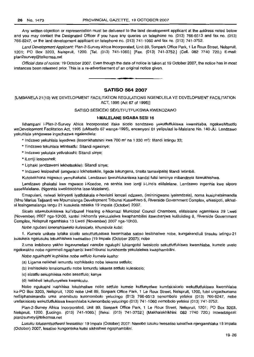Any written objection or representation must be delivered to the land development applicant at the address noted below and you may contact the Designated Officer if you have any queries on telephone no. (013) 766-6513 and fax no. (013) 766-8247, or the land development applicant on telephone no. (013) 741-1060 and fax no. (013) 741-3752.

Land Development Applicant: Plan-2-Survey Africa Incorporated, Unit 89, Sonpark Office Park, 1 Le Roux Street, Nelspruit, 1201; PO Box 3203, Nelspruil, 1200. [Tel. (013) 741-1060.] [Fax. (013) 741-3752.J (Cell. 082 7740 720.) E-mail: plan2survey@1elkomsa.net

Official date of notice: 19 October 2007. Even though the date of notice is taken at 19 October 2007, the notice has in most instances been released prior. This is a re-advertisement of an original notice given.

#### **SATISO 564 2007**

## [UMBANELA21(10) WE DEVELOPMENT FACILITATION REGULATIONS NGENDLELA YE DEVELOPMENT FACILITATION ACT, 1995 (Act 67 of 1995)]

#### SATISO SESICEKI SEKUTFUTFUKISWA KWENDZAWO

#### **I-MALELANE SIGABA SESI 16**

Ikhampani i-Plan-2-Survey Africa Incorporated ifake sicelo sendzawo yekutfutfukiswa kwemhlaba, ngekweMtsetfo weDevelopment Facilitation Act, 1995 (uMtsetfo 67 wanga-1995), encenyeni 61 yeiipulazi le-Maleiane No. 140-JU. Lendzawo yekuhlala yangasese ingachazwa ngalendlela:

\* Indzawo yekuhlala leyodvwa (lesemkhatshini kwa 700 m<sup>2</sup> na 1 330 m<sup>2</sup>): titandi letingu 33;

\* Tindzawo tekuhlala letintsatfu: Sitandi ngasinye;

\* lndzawo yekulala yetivakashi: Sitandi sinye;

\* iLontji lesipesheli;

\* Liphaki (endzaweni lekhetsekile): Sitandi sinye;

\* Indzawo lesipesheli (umgwaco lokhetsekile, ligede lokungena, tinsita tamasipala) tilandi letimbili.

Kutobakhona migwaco yemphakatsi. Lendzawo itawuhlukaniswa kandzi futsi leminye mibandzela itawukhishwa.

Lendzawo phakatsi kwe mgwaco i-Koedoe, na senhla kwe lontji i-Lino's eMalelane. Lendzawo ingenhla kwe siporo saseMalelane. (Ngenhla kwelidolobha lase-Malelane).

Emapulani, nelwati lelinyenti iyatfolakala e-hovisini lemceli ndzawo, (imininigwane iyalandzela), noma kusiphatsimandla (Mnu Marius Taljaard) we Mpumalanga Development Tribunal Kusakhiwo 6, Riverside Government Complex, eNasipoti, sikhatsi lesingemalanga langu 21 kusukela mhlaka 19 Impala (October) 2007.

Sicelo sitawubukisiswa kuTribunal Hearing e-Nkomazi Municipal Council Chambers, eMalelane ngamhlaka 29 Lweti (November) 2007 nga-10hOO, kantsi Inkhomfa yekuLalelwa kwaphambilini itawubanjwa kuBuilding 8, Riverside Government Complex, Nelspruit ngamhlaka 13 Lweti (November) 2007 nga-10hOO.

Nobe ngubani lonenshisekelo kulesicela. khumbula kutsi:

1. Kumele unikete lofaka sicelo sekutfutfukiswa kwemhlaba satiso lesibhaliwe nobe, kungakendluli tinsuku letingu-21 kusukela ngelusuku lekukhishwa kwesatiso (19 Impala (October 2007); nobe

2.uma imbibono yakho ingavumelani nanobe nguluphi luhlangotsi Iwesicelo sekutfutfukiswa kwemhlaba, kurnele uvele ngekwakho nobe ngemmeli ngaphambi kweTribunai kunkhomfa yekulalelwa kwaphambilini.

Nobe ngukhuphi kuphikisa nobe setfulo kumele kusho:

- (a) Ligama nelikheli lemuntfu lophikisako nobe lekenta setfulo;
- (b) inshisekelo lenalomuntfu nobe lomuntfu lekenta setfulo kulesicelo;
- (c) sizatfu sekuphikisa nabe sesetfulo; kanye
- (d) nelikheli lekutfunyelwa kwemiculu.

Nobe ngukuphi kuphikisa lakubhaliwe nabe setfulo kumele kutfunyelwe kumfakisicelo wekutfutfukiswa kwemhlaba ku-PO Box 3203, Nelspruit, 1200 nobe Unit 89, Sonpark Office Park, 1 Le Roux Street, Nelspruit, 1200, futsi ungachumana neSiphatsimandla uma unemibuto kulenombolo yelucingo (013) 766-6513 nenombolo yefeksi (013) 766-8247, nobe umfakisicelo wekutfutfukiswa kwemhlaba kulenombolo yelucingo (013) 741-1060 nemobolo yefeksi (013) 741-3752.

Plan-2-Survey Africa Incorporated, Unit 89, Sonpark Office Park, 1 Le Roux Street, Nelspruit, 1201; PO Box 3203, Nelspruit, 1200. [Lucingo. (013) 741-1060.] [Ileksi. (013) 741-3752.] (Makhalekhikhini: 082 7740 720.) Incwadzigezi: plan2survey@telkomsa.net

Lusuku lolusemtsetfweni lwesatiso: 19 Impala (October) 2007: Nanobe lusuku lwesatiso lutsatfwa njengamhlaka 19 Impala (October) 2007, lesatiso kungenteka kutsi sikhishwe ngaphambilini.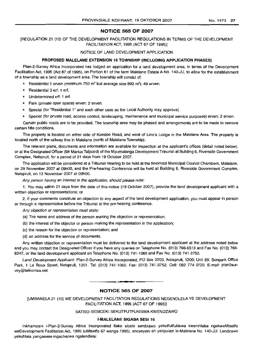## **NOTICE 565 OF 2007**

[REGULATION 21 (10) OF THE DEVELOPMENT FACILITATION REGULATIONS IN TERMS OF THE DEVELOPMENT FACILITATION ACT, 1995 (ACT 67 OF 1995)]

#### NOTICE OF LAND DEVELOPMENT APPLICATION

#### **PROPOSED MALELANE EXTENSION 16 TOWNSHIP (INCLUDING APPLICATION PHASES)**

Plan-2-Survey Africa Incorporated has lodged an application for a land development area, in terms of the Development Facilitation Act, 1995 (Act 67 of 1995), on Portion 61 of the farm Malelane Estate A No. 140-JU, to allow for the establishment of a township as a land development area. The township will consist of:

- Residential 1 erven (minimum 750 m<sup>2</sup> but average size 892 m<sup>2</sup>): 49 erven.
- Residential 3 erf: 1 erf.
- Undetermined erf: 1 erf.
- \* Park (private open space) erven: 2 erven.
- \* Special (for "Residential 1" and such other uses as the Local Authority may approve).
- Special (for private road, access control, landscaping, maintenance and municipal service purposes) erven: 2 erven.

Certain public roads are to be provided. The township area may be phased and arrangements are to be made to remove certain title conditions.

The property is located on either side of Koedoe Road, and west of Lino's Lodge in the Malelane Area. The property is located north of the railway line in Malelane (north of Malelane Township).

The relevant plans, documents and information are available for inspection at the applicant's offices (detail noted below), or at the Designated Officer (Mr Marius Taljaard) of the Mpumalanga Development Tribunal at Building 6, Riverside Government Complex, Nelspruit, for a period of 21 days from 19 October 2007.

The application will be considered at a Tribunal Hearing to be held at the Nkomazi Municipal Council Chambers, Malelane, on 29 November 2007 at 09hOO, and the Pre-hearing Conference will be held at Building 8, Riverside Government Complex, Nelspruit, on 13 November 2007 at 09hOO.

Any person having an interest in the application, should please note:

1. You may within 21 days from the date of this notice (19 October 2007), provide the land development applicant with a written objection or representations; or

2. if your comments constitute an objection to any aspect of the land development application, you must appear in person or through a representative before the Tribunal at the pre-hearing conference.

Any objection or representation must state:

- (a) The name and address of the person making the objection or representation;
- (b) the interest of the objector or person making the representation in the application;
- (c) the reason for the objection or representation; and
- (d) an address for the service of documents.

Any written objection or representation must be delivered to the land development applicant at the address noted below and you may contact the Designated Officer if you have any queries on Telephone No. (013) 766-6513 and Fax No. (013) 766- 8247, or the land development applicant on Telephone No. (013) 741-1060 and Fax No. (013) 741-3752.

Land Development Applicant: Plan-2-Survey Africa Incorporated, PO Box 3203, Nelspruit, 1200; Unit 89, Sonpark Office Park, 1 Le Roux Street, Nelspruit, 1201. Tel: (013) 741-1060. Fax: (013) 741-3752. Cell: 082 774 0720. E-mail: plan2survey@telkornsa.net

#### **NOTICE 565 OF 2007**

**• •**

[UMBANELA21 (10) WE DEVELOPMENT FACILITATION REGULATIONS NEGENDLELA YE DEVELOPMENT FACILITATION ACT, 1995 (ACT 67 OF 1995)]

#### SATISO SESICEKI SEKUTFUTFUKISWA KWENDZAWO

#### **I-MALELANE SIGABA SESI 16**

Inkhampani i-Plan-2-Survey Africa Incorporated ifake sicelo sendzawo yekutfutfukiswa kwemhlaba ngekweMtsetfo weDevelopment Facilitation Act, 1995 (uMtsetfo 67 wanga-1995), encenyeni 61 yelipulazi le-Malelane No. 140-JU. Lendzawo yekuhlala yangasese ingachazwa ngalendlela: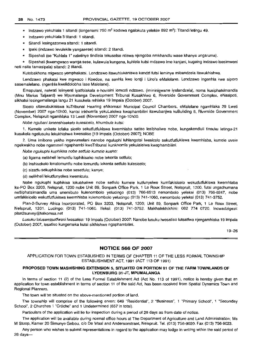\* Indzawo yekuhlala 1 sitandi (longenami 750 m<sup>2</sup> kodvwa ngalokuta yelekile 892 m<sup>2</sup>): Titandi letingu 49.

- \* Indzawo yekuhlala 3 titandi: 1 sitandi.
- Sitandi lesingazonwa sitandi: 1 sitandi.
- \* Ipaki (indzawo levulekile yangasese) sitandi: 2 titandi.
- \* Sipeshali (se "Kuhlala 1" naletinye tindlela tekuselse ntiswa njengoba nmkhandlu wase khanya ungaruma).

Sipeshali (kwemgwaco wanga sese, kulawula kungena, kuhlela kutsi mdzawo ime kanjani, kugeing indzawo isesimweni neti nsita tamasipala) sitandi: 2 titandi.

Kutobakhona migwaco yemphakatsi. Lendzawo itawuhlukaniswa kandzi futsi leminye mibandzela itawukhishwa.

Lendzawo phakatsi kwe mgwaco i Koedoe, na senhla kwe lontji i Lino's eMalelane. Lendzawo ingenhla kwe siporo sasemalelane. (ngenhla kwelidolobha lase Malelane).

Emapulani, nelwati lelinyenti iyatfolakala e-hovisini lemceli ndzawo. (imininigwane iyalandzela), noma kusiphatsimandla (Mnu Marius Taljaard) we Mpumalanga Development Tribunal Kusakhiwo 6, Riverside Government Complex, eNasipoti, sikhatsi lesingemalanga langu 21 kusukela mhlaka 19 Impala (October) 2007.

Sicelo sitawubukisiswa kuTribunal Hearing eNkomazi Municipal Council Chambers, eMalelane ngamhlaka 29 Lweti (November) 2007 nga-10hOO, kantsi inkhomfa yekuLalelwa kwaphambilini itawubanjwa kuBuilding 8, Riverside Government Complex, Nelspruit ngamhlaka 13 Lweti (November) 2007 nga-l0hOO.

Nobe ngubani lonenshisekelo kulesicelo, khumbula kutsi:

1. Kumele unikete lofaka sicelo sekutfutfukiswa kwemhlaba satiso lesibhaliwe nobe, kungakendluli tinsuku letingu-21 kusukela ngelusuku lekukhishwa kwesatiso [19 Impala (October) 2007]; NOSE

2. Uma imibono yakho ingavumelani nanobe nguluphi luhlanqotsi Iwesicelo sekutfutfukiswa kwemhlaba, kumele uvele ngekwakho nobe ngemmeli ngaphambi kweTribunal kunkhomfa yekulalelwa kwaphambilini.

Nobe ngukuphi kuphikisa nobe setfu/o kumele kusho:

- (a) ligama nelikheli lemuntfu lophikisako nobe lekenta setfulo;
- (b) inshisekelo lenalomuntfu nobe lomuntfu lekenta setfulo kulesicelo;
- (c) sizatfu sekuphikisa nobe sesetfulo; kanye;
- (d) nelikheli lekutfunyelwa kwemiculu.

Nobe ngukuphi kuphikisa lokubhaliwe nobe setfulo kumele kutfunyelwe kumfakisicelo wekutfutfukiswa kwemhlaba ku-PO Box 3203, Nelspruit, 1200 nobe Unit 89, Sonpark Office Park, 1 Le Roux Street, Nelspruit, 1200, futsi ungachumana neSiphatsimandla uma unemibuto kulenombolo yelucingo (013) 766-6513 nenombolo yefeksi (013) 766-8247, nobe umfakisicelo wekutfutfukiswa kwemhlaba kulenombolo yelucingo (013) 741-1060, nenombolo yefeksi (013) 741-3752.

Plan-2-Survey Africa Incorporated, PO Box 3203, Nelspruit, 1200; Unit 89, Sonpark Office Park, 1 Le Roux Street, Nelspruit, 1201. Lucingo: (013) 741-1060. Ifeksi: (013) 741-3752. Makhalekhikhini: 082 774 0720. incwadzigezi: plan2survey@telkomsa.net

Lusuku lolusemtsetfweni Iwesatiso: 19 Impala (October) 2007: Nanobe lusuku Iwesatiso lutsatfwa njengamhlaka 19 Impala (October) 2007, lesatiso kungenteka kutsi sikhishwe ngaphambilini.

19-26

#### **NOTICE 566 OF 2007**

APPLICATION FOR TOWN ESTABLISHED IN TERMS OF CHAPTER 11 OF THE LESS FORMAL TOWNSHIP ESTABLISHMENT ACT, 1991 (ACT 113 OF 1991)

#### **PROPOSED TOWN MASHISHING EXTENSION 5, SITUATED ON PORTION** 81 OF **THE FARM TOWNLANDS** OF **LYDENBURG** 31-JT, **MPUMALANGA**

In terms of section 11 (2) of the Less Formal Establishment Act (Act No. 113 of 1991), notice is hereby given that an application for town establishment in terms of section 11 of the said Act, has been received from Spatial Dynamics Town and Regional Planners.

The town will be situated on the above-mentioned portion of land.

The township will comprise of the following erven: 649 "Residential", 2 "Business", 1 "Primary School", 1 "Seconday School", 2 Churches 1 "Créche" and 1 Undetermined (657 in total).

Particulars of the application will lie for inspection during a period of 28 days as from date of notice.

The application will be available during normal office hours at The Department of Agriculture and Land Administration; Ms M Stoop, Kamer 20 Simunye Gebou, c/o De Waal and Andersonstraat, Nelspruit. Tel. (013) 756-9020. Fax (013) 756-9023.

Any person who wishes to submit representations in regard to the application may lodge in writing within the said period of  $28$  days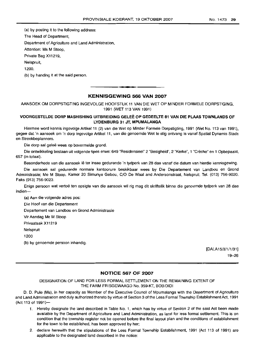(a) by posting it to the following address: The Head of Department, Department of Agriculture and Land Administration, Attention: Ms M Stoop, Private Bag X11219, Nelspruit, 1200.

(b) by handing it at the said person.

## **KENNISGEWING** 566 **VAN** 2007

**•**

AANSOEK OM DORPSTIGTING INGEVOLGE HOOFSTUK 11 VAN DIE WET OP MINDER FORMELE DORPSTIGING, 1991 (WET 113 VAN 1991)

## VOORGESTELDE DORP MASHISHING UITBREIDING GELEE OP GEDEELTE 81 VAN DIE PLAAS TOWNLANDS OF LYDEN BURG 31 JT, MPUMALANGA

Hiermee word kennis ingevolge Artikel 11 (2) van die Wet op Minder Formele Dorpstigting, 1991 (Wet No. 113 van 1991), gegee dat 'n aansoek om 'n dorp ingevolge Artikel 11, van die genoemde Wet te stig ontvang is vanaf Spatial Dynamis Stads en Streekbeplanners.

Die dorp sal geleë wees op bovermelde grond.

Die ontwikkeling bestaan uit volgende tipes erwe: 649 "Residensieel" 2 "Besigheid", 2 "Kerke", 1 "Crèche" en 1 Opbepaald, 657 (in totaal).

Besonderhede van die aansoek lê ter insae gedurende 'n tydperk van 28 dae vanaf die datum van hierdie kennisgewing.

Die aansoek sal gedurende normale kantoorure beskikbaar wees by Die Departement van Landbou en Grond Administrasie; Me M Stoop, Kamer 20 Simunye Gebou, C/O De Waal and Andersonstraat, Nelspruit. Tel. (013) 756-9020. Faks (013) 756-9023.

Enige persoon wat vertoë ten opsigte van die aansoek wil rig mag dit skriftelik binne die genoemde tydperk van 28 dae indien-

(a) Aan die volgende adres pos: Die Hoof van die Departement

Departement van Landbou en Grond Administrasie

Vir Aandag Me M Stoop

Privaatsak Xl1219

**Nelspruit** 

1200

(b) by genoemde persoon inhandig.

[DALA15/3/1/1/31] 19-26

## **NOTICE** 567 OF 2007

## DESIGNATION OF LAND FOR LESS FORMAL SETTLEMENT ON THE REMAINING EXTENT OF THE FARM FRISGEWAAGD No. 359-KT, BOBIDIDI

D. D. Pule (Ms), in her capacity as Member of the Executive Council of Mpumalanga with the Department of Agriculture and Land Administration and duly authorized thereto by virtue of Section 3 of the Less Formal Township EstablishmentAct, 1991 (Act 113 of 1991)-

- 1. Hereby designate the land described in Table No.1, which has by virtue of Section 2 of the said Act been made availabie by the Department of Agriculture and Land Administration, as land for less formal settlement. This is on condition that the township register not be opened before the final layout plan and the conditions of establishment for the town to be established, has been approved by her;
- 2. declare herewith that the stipulations of the Less Formal Township Establishment, 1991 (Act 113 of 1991) are applicable to the designated land described in the notice: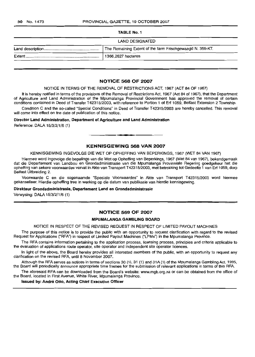#### TABLE NO.1

| The Remaining Extent of the farm Frischgewaagd N. 359-KT. |
|-----------------------------------------------------------|
|                                                           |
|                                                           |

## **NOTICE** 568 **OF** 2007

#### NOTICE IN TERMS OF THE REMOVAL OF RESTRICTIONS ACT, 1967 (ACT 84 OF 1967)

It is hereby notified in terms of the provisions of the Removal of Restrictions Act, 1967 (Act 84 of 1967), that the Department of Agriculture and Land Administration of the Mpumalanga Provincial Government has approved the removal of certain conditions contained in Deed of Transfer T42315/2003, with reference to Portion 1 of Erf 1059, Belfast Extension 2 Township.

Condition C and the so-called "Special Conditions" in Deed of Transfer T42315/2003 are hereby cancelled. This removal will come into effect on the date of publication of this notice.

#### Director Land Administration, Department of Agriculture and Land Administration

Reference: DALA 15/3/2/1/6 (1)

## **KENNISGEWING** 568 **VAN** 2007

**•**

KENNISGEWING INGEVOLGE DIE WET OP OPHEFFING VAN BEPERKINGS, 1967 (WET 84 VAN 1967)

Hiermee word ingevolge die bepalings van die Wet op Opheffing van Beperkings, 1967 (Wet 84 van 1967), bekendgemaak dat die Departement van Landbou en Grondadministrasie van die Mpumalanga Provinsiale Regering goedgekeur het die opheffing van sekere voorwaardes vervat in Akte van Transport T42315/2003, met betrekking tot Gedeelte 1 van Erf 1059, dorp Belfast Uitbreiding 2.

Voorwaarde C en die sogenaamde "Spesiale Voorwaardes" in Akte van Transport T42315/2003 word hiermee gekanselleer. Hierdie opheffing tree in werking op die datum van publikasie van hierdie kennisgewing.

#### Direkteur Grondadminlstrasie, Departement Land en Grondadministrasie

Verwysing: DALA 15/3/2/1/6 (1)

## **NOTICE** 569 **OF** 2007

#### MPUMALANGA GAMBLING BOARD

#### NOTICE IN RESPECT OF THE REVISED REQUEST IN RESPECT OF LIMITED PAYOUT MACHINES

The purpose of this notice is to provide the public with an opportunity to request clarification with regard to the revised Request for Applications ("RFA") in respect of Limited Payout Machines ("LPMs") in the Mpumalanga Province.

The RFA contains information pertaining to the application process, licensing process, principles and criteria applicable to the evaluation of applications route operator, site operator and independent site operator licences.

In light of the above, the Board hereby provides all interested members of the public, with an opportunity to request any clarification on the revised RFA, until 8 November 2007.

Although the RFA serves as notices in terms of sections 30 (1), 31 (1) and 31A (1) of the Mpumalanga Gambling Act, 1995, the Board will periodically announce appropriate time frames for the submission of relevant applications in terms of this RFA.

The aforesaid RFA can be downloaded from the Board's website: www.mgb.org.za or can be obtained from the office of the Board, located in First Avenue, White River, Mpumalanga Province.

Issued by: André Otto, Acting Chief Executive Officer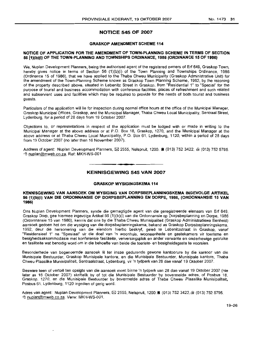## **NOTICE 545 OF 2007**

## **GRASKOP AMENDMENT SCHEME 114**

#### **NOTICE OF APPLICATION FOR THE AMENDMENT OF TOWN-PLANNING SCHEME IN TERMS OF SECTION 5611)(b)(i) OF THE TOWN-PLANNING AND TOWNSHIPS ORDINANCE, 1986 (ORDINANCE 15 OF 1986)**

We, Nuplan Development Planners, being the authorised agent of the registered owners of Erf 649, Graskop Town, hereby gives notice in terms of Section 56 (1)(b)(i) of the Town Planning and Townships Ordinance, 1986 (Ordinance 15 of 1986), that we have applied to the Thaba Chweu Municipality (Graskop Administrative Unit) for the amendment of the Town-Planning Scheme known as Graskop Town Planning Scheme, 1992, by the rezoning of the property described above, situated in Lebenitz Street in Graskop, from "Residential 1" to "Special" for the purpose of tourist and business accommodation with conference facilities, places of refreshment and such related and subservient uses and facilities which may be required to provide for the needs of both tourist and business guests.

Particulars of the application will lie for inspection during normal office hours at the office of the Municipal Manager, Graskop Municipal Offices, Graskop, and the Municipal Manager, Thaba Chweu Local Municipality, Sentraal Street, Lydenburg, for a period of 28 days from 19 October 2007.

Objections to, or representations in respect of the application must be lodged with or made in writing to the Municipal Manager at the above address or at P.O. Box 18, Graskop, 1270, and the Municipal Manager at the above address or at Thaba Chweu Local Municipality, P.O. Box 61, Lydenburg, 1120, within a period of 28 days from 19 October 2007 (no later than 16 November 2007).

Address of agent: Nuplan Development Planners,  $\boxtimes$  2555, Nelspruit, 1200. 8 (013) 752 3422,  $\oplus$  (013) 752 5795. .!EJ nuplan@mweb.co.za. Ref: MKH-WS-001

## **• KENNISGEWING 545 VAN 2007**

### **GRASKOP WYSIGINGSKEMA 114**

#### **KENNISGEWING VAN AANSOEK OM WYSIGING VAN DORPSBEPLANNINGSKEMA INGEVOLGE ARTIKEL 56 (1)(b)(i) VAN DIE ORDONNANSIE OP DORPSBEPLANNING EN DORPE, 1986. (ORDONNANSIE 15 VAN 1986)**

Ons Nuplan Development Planners, synde die gemagtigde agent van die geregistreerde eienaars van Erf 649, Graskop Dorp, gee hiermee ingevolge Artikel56 (1)(b)(i) van die Ordonnansie op Dorpsbeplanning em Dorpe, 1986 (Ordonnansie 15 van 1986), kennis dat ons by die Thaba Chweu Munisipaliteit (Graskop Administratiewe Eenheid) aansoek gedoen het om die wysiging van die dorpsbeplanningskema, bekend as Graskop Dorpsbeplanningskema, 1992, deur die hersonering van die eiendom hierbo beskryf, gelee te Lebenitzstraat in Graskop, vanaf "Residensieel 1" na "Spesiaal" vir die doel van 'n woonhuis, wooneenhede en gastekamers vir toerisme en besigheidsakkommodasie met konferensie fasiliteite, verversingsplek en ander verwante en onderhewige gebruike en fasiliteite wat benodig word om in die behoefte van beide die toeriste- en besigheidsgaste te voorsien.

Besonderhede van bogenoemde aansoek Ie ter insae gedurende gewone kantoorure by die kantoor van die Munisipale Bestuurder, Graskop Munisipale kantore, en die Munisipale Bestuurder, Munisipale kantore, Thaba Chweu Plaaslike Munisipaliteit, Sentraalstraat, Lydenburg, vir 'n tydperk van 28 dae vanaf 19 Oktober 2007.

Besware teen of vertoë ten opsigte van die aansoek moet binne 'n tydperk van 28 dae vanaf 19 Oktober 2007 (nie later as 16 Oktober 2007) skriftelik by of tot die Munisipale Bestuurder by bovermelde adres, of Posbus 18, Graskop, 1270, en die Munisipale Bestuurder by bovermelde adres of Thaba Chweu Piaaslike Munisipaliteit, Posbus 61, Lydenburg, 1120 ingedien of gerig word.

Adres van agent: Nuplan Development Planners,  $\boxtimes$  2555, Nelspruit, 1200. 8 (013) 752 3422,  $\textcircled{\scriptsize{1}}$  (013) 752 5795. .!EJ nuplan@mweb.co.za. Verw: MKH-WS-001.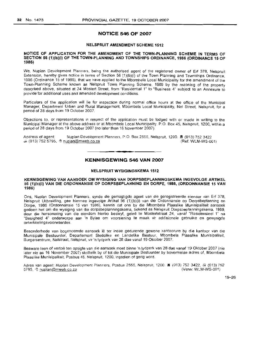## **NOTICE 546 OF** 2007

#### NELSPRUIT AMENDMENT SCHEME 1512

#### NOTICE OF APPLICATION FOR THE AMENDMENT OF THE TOWN-PLANNING SCHEME IN TERMS OF SECTION 56 (1)(b)(i) OF THE TOWN-PLANNING AND TOWNSHIPS ORDINANCE, 1986 (ORDINANCE 15 OF 1986)

We, Nuplan Development Planners, being the authorised agent of the registered owner of Erf 378, Nelspruit Extension, hereby gives notice in terms of Section 56 (1)(b)(i) of the Town Planning and Townships Ordinance, 1986 (Ordinance 15 of 1986), that we have applied to the Mbombela Local Municipality for the amendment of the Town-Planning Scheme known as Nelspruit Town Planning Scheme, 1989 by the rezoning of the property described above, situated at 24 Mostert Street, from "Residential 1" to "Business 4" subject to an Annexure to provide for additional uses and amended development conditions.

Particulars of the application will lie for inspection during normal office hours at the office of the Municipal Manager, Department Urban and Rural Management, Mbombela Local Municipality, Nel Street, Nelspruit, for a period of 28 days from 19 October 2007.

Objections to, or representations in respect of the application must be lodged with or made in writing to the Municipal Manager at the above address or at Mbombela Local Municipality, P.O. Box 45, Nelspruit, 1200, within a period of 28 days from 19 October 2007 (no later than 16 November 2007)

Address of agent: Nuplan Development Planners, P.O. Box 2555, Nelspruit, 1200. 8 (013) 752 3422  $\bar{m}$  (013) 752 5795,  $\theta$  nuplan@mweb.co.za (Ref: WLM-WS-001)

## **- KENNISGEWING** <sup>546</sup> **VAN** <sup>2007</sup>

#### NELSPRUIT WYSIGINGSKEMA 1512

#### KENNISGEWING VAN AANSOEK OM WYSIGING VAN DORPSBEPLANNINGSKEMA HNGEVOLGE ARTIKEL 56 (1)(b)(i) VAN DIE ORDONNANSIE OP DORPSBEPLANNING EN DORPE, 1986, IORDONNANSIE 15 VAN 1986)

Ons, Nuplan Development Planners. synde die gemagtlgde agent van die geregistreerde eienaar van Erf 378, Nelspruit Uitbreiding, gee hiermee ingevolge Artikel 56 (1)(b)(i) van die Ordonnansie op Dorpsbeplanning en Dorpe, 1986 (Ordonnansie 15 van 1986), kennis dat ons by die Mbombela Plaaslike Munisipaliteit aansoek gedoen het om die wysiglng van die dorpsbeplanningskema, bekend as Nelspruit Dorpsbeplanningskema, 1989, deur die hersonering van die eiendorn hierbo beskryf, gelee te Mostertstraat 24, vanaf "Residensieel 1" na "Besigheid 4" onderworpe aan 'n Bylae om voorsiening te maak vir addisionele gebruike en gewysigde ontwikkelingsvoorwaardes

Besonderhede van bogenoemde aansoek le ter insae gedurende gewone kantoorure by die kantoor van die Munisipale Bestuurder, Departement Stede/ike en Landelike Bestuur, Mbombela Plaaslike Munisipaliteit, Burgersentrum, Nelstraat, Nelspruit, vir 'n tydperk van 28 dae vanaf 19 Oktober 2007.

Besware teen of vertoe ten opsigte van die aansoek moet binne 'n tydperk van 28 dae vanal 19 Oktober 2007 (nie later nie as 16 November 2007) skriftelik by of tot die Munisipale Bestuurder by bovermelde adres of, Mbombela Plaaslike Munisipaliteit, Posbus 45, Nelspruit, 1200, ingedien of gerig word.

Adres van agent: Nuplan Development Planners, Posbus 2555, Nelspruit, 1200. **B** (013) 752 3422, & (013) 752 5795, <sup>4</sup>0 nuplan@mweb.co.za 5795, <sup>o</sup>t nuplan@mweb.co.za

19-26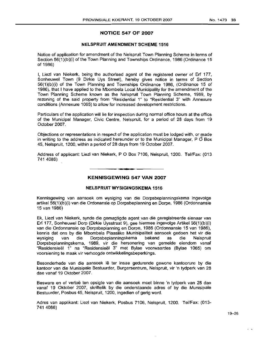## **NOTICE 547 OF 2007**

## **NELSPRUIT AMENDMENT SCHEME 1516**

Notice of application for amendment of the Nelspruit Town Planning Scheme **in** terms of Section 56(1)(b)(i) of the Town Planning and Townships Ordinance, 1986 (Ordinance 15 of 1986)

I, Liezl van Niekerk, being the authorised agent of the registered owner of Erf 177, Sonheuwel Town (9 Dirkie Uys Street), hereby gives notice in terms of Section 56(1)(b)(i) of the Town Planning and Townships Ordinance 1986, (Ordinance 15 of 1986), that I have applied to the Mbombela Local Municipality for the amendment of the Town Planning Scheme known as the Nelspruit Town Planning Scheme, 1989, by rezoning of the said property from "Residential 1" to "Residential 3" with Annexure conditions (Annexure 1065) to allow for increased development restrictions.

Particulars of the application will lie for inspection during normal office hours at the office of the Municipal Manager, Civic Centre, Nelspruit, for a period of 28 days from 19 October 2007.

Objections or representations in respect of the application must be lodged with, or made in writing to the address as indicated hereunder or to the Municipal Manager,  $P \tilde{O}$  Box 45, Nelspruit, 1200, within a period of 28 days from 19 October 2007.

Address of applicant: Liezl van Niekerk, POBox 7106, Nelspruit, 1200. Tel/Fax: (013 741 4086)

## **KENNISGEWING 547 VAN 2007**

#### **NELSPRUIT WYSIGINGSKEMA 1516**

Kennisgewing van aansoek om wysiging van die Dorpsbeplanningskema ingevolge artikel 56(1)(b)(i) van die Ordonansie op Dorpsbeplanning en Dorpe, 1986 (Ordonnansie 15 van 1986)

Ek, Liezl van Niekerk, synde die gemagtigde agent van die geregistreerde eienaar van **Erf** 177, Sonheuwel Dorp (Dirkie Uysstraat 9), gee hiermee ingevolge Artikel 56(1)(b)(i) van die Ordonnansie op Dorpsbeplanning en Dorpe, 1986 (Ordonnansie 15 van 1986), kennis dat ons by die Mbombela Plaaslike Munisipaliteit aansoek gedoen het vir die wysiging van die Dorpsbeplanningskema bekend as die Nelspruit Dorpsbeplanningskema, 1989, vir die hersonering van gemelde eiendom vanaf "Resldensleel 1" na "Residensleel 3" met Bylae voorwaardes (Bytae 1065) om voorsiening te maak vir verhoogde ontwikkelingsbeperkings.

Besonderhede van die aansoek Ie ter insae gedurende gewone kantoorure by die kantoor van die Munisipale Bestuurder, Burgersentrum, Nelspruit, vir 'n tydperk van 28 dae vanaf 19 Oktober 2007.

Besware en of vertoë ten opsigte van die aansoek moet binne 'n tydperk van 28 dae vanaf 19 Oktober 2007, skriftelik by die onderstaande adres of by die Munisipale Bestuurder, Posbus 45, Nelspruit, 1200, ingedien of gerig word.

Adres van applikant: Liezl van Niekerk, Posbus 7106, Nelspruit, 1200. Tel/Fax: (013- 741 4086)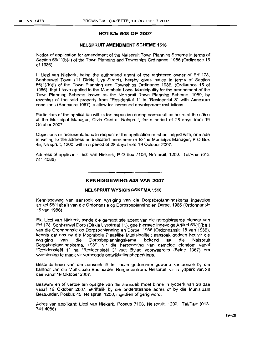### **NOTICE 548 OF 2007**

## **NELSPRUIT AMENDMENT SCHEME 1518**

Notice of application for amendment of the Nelspruit Town Planning Scheme in terms of Section 56(1)(b)(i) of the Town Planning and Townships Ordinance, 1986 (Ordinance 15 of 1986)

I, Liezl van Niekerk, being the authorised agent of the registered owner of Erf 178, Sonheuwel Town (11 Dirkie Uys Street), hereby gives notice in terms of Section 56(1)(b)(i) of the Town Planning and Townships Ordinance 1986, (Ordinance 15 of 1986), that I have applied to the Mbombela Local Municipality for the amendment of the Town Planning Scheme known as the Nelspruit Town Planning Scheme, 1989, by rezoning of the said property from "Residential 1" to "Residential 3" with Annexure conditions (Annexure 1067) to allow for increased development restrictions.

Particulars of the application will lie for inspection during normal office hours at the office of the Municipal Manager, Civic Centre, Nelspruit, for a period of 28 days from 19 October 2007.

Objections or representations in respect of the application must be lodged with, or made in writing to the address as indicated hereunder or to the Municipal Manager, POBox 45, Nelspruit, 1200, within a period of 28 days from 19 October 2007.

Address of applicant: Liezl van Niekerk, P O Box 7106, Nelspruit, 1200. Tel/Fax: (013 741 4086)

## **• KENNISGEWING 548 VAN 2007**

## **NELSPRUIT WYSIGINGSKEMA 1518**

Kennisgewing van aansoek om wysiging van die Dorpsbeplanningskema ingevolge artikel 56(1)(b)(i) van die Ordonansie op Dorpsbeplanning en Dorpe, 1986 (Ordonnansie 15 van 1986)

Ek, Liezl van Niekerk, synde die gemagtigde agent van die geregistreerde eienaar van Erf 178, Sonheuwel Dorp (Dirkie Uysstraat 11), gee hiermee ingevolge Artikel 56(1)(b)(i) van die Ordonnansie op Dorpsbeplanning en Dorpe, 1986 (Ordonnansie 15 van 1986), kennis dat ons by die Mbombela Plaaslike Munisipaliteit aansoek gedoen het vir die<br>wysiging van die Dorpsbeplanningskema bekend as die Nelspruit wysiging van die Dorpsbeplanningskema Dorpsbeplanningskema, 1989, vir die hersonering van gemelde eiendom vanaf "Residensieel 1" na "Residensleel 3" met Bylae voorwaardes (Bylae 1067) om voorsiening te maak vir verhoogde ontwikkelingsbeperkings.

Besonderhede van die aansoek Ie ter insae gedurende gewone kantoorure by die kantoor van die Munisipale Bestuurder, Burgersentrum. Nelspruit, vir 'n tydperk van 28 dae vanaf 19 Oktober 2007.

Besware en of vertoë ten opsigte van die aansoek moet binne 'n tydperk van 28 dae vanaf 19 Oktober 2007, skriftelik by die onderstaande adres of by die Munisipale Bestuurder, Posbus 45, Nelspruit, 1200, ingedien of gerig word.

Adres van applikant: Liezl van Niekerk, Posbus 7106, Nelspruit, 1200. Tel/Fax: (013· 741 4086)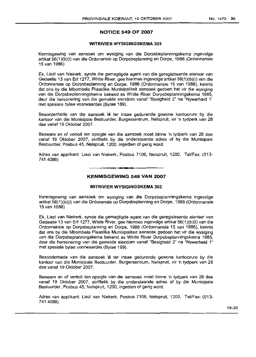## **NOTICE 549 OF 2007**

## **WITRIVIER WYSIGINGSKEMA** 303

Kennisgewing van aansoek om wysiging van die Dorpsbeplanningskema ingevolge artikel 56(1)(b)(i) van die Ordonansie op Dorpsbeplanning en Dorpe, 1986 (Ordonnansie 15 van 1986)

Ek, Liezl van Niekerk, synde die gemagtigde agent van die geregistreerde eienaar van Gedeelte 13 van Erf 1277, White River, gee hiermee ingevolge artikel 56(1)(b)(i) van die Ordonnansie op Dorpsbeplanning en Dorpe, 1986 (Ordonnansie 15 van 1986), kennis dat ons by die Mbombela Plaaslike Munisipaliteit aansoek gedoen het vir die wysiging van die Dorpsbeplanningskema bekend as White River Dorpsbeplanningskema 1985, deur die hersonering van die gemelde eiendom vanaf "Besigheid 2" na "Nywerheid 1" met spesiale bylae voorwaardes (Bylae 189).

Besonderhede van die aansoek Ie ter insae gedurende gewone kantoorure by die kantoor van die Munisipale Bestuurder, Burgersentrum, Nelspruit, vir 'n tydperk van 28 dae vanaf 19 Oktober 2007.

Besware en of vertoë ten opsigte van die aansoek moet binne 'n tydperk van 28 dae vanaf 19 Oktober 2007, skriflelik by die onderstaande adres of by die Munisipale Bestuurder, Posbus 45, Nelspruit, 1200, ingedien of gerig word.

Adres van applikant: Liezl van Niekerk, Posbus 7106, Nelspruit, 1200. Tel/Fax: (013- 741 4086)

**•**

## **KENNISGEWING 549 VAN 2007**

#### **WITRIVIER WYSIGINGSKEMA** 303

Kennisgewing van aansoek om wysiging van die Dorpsbeplanningskema ingevolge artikel 56(1)(b)(i) van die Ordonansie op Dorpsbeplanning en Dorpe, 1986 (Ordonnansie 15 van 1986)

Ek, Liezl van Niekerk, synde die gemagtigde agent van die geregistreerde eienaar van Gedeelte 13 van Erf 1277, White River, gee hiermee ingevolge artikel 56(1)(b)(i) van die Ordonnansie op Dorpsbeplanning en Dorpe, 1986 (Ordonnansie 15 van 1986), kennis dat ons by die Mbombela Plaaslike Munisipaliteit aansoek gedoen het vir die wysiging van die Dorpsbeplanningskema bekend as White River Dorpsbeplanningskema 1985, deur die hersonering van die gemelde eiendom vanaf "Besigheid 2" na "Nywerheid 1" met spesiale bylae voorwaardes (Bylae 189).

Besonderhede van die aansoek Ie ter insae gedurende gewone kantoorure by die kantoor van die Munisipale Bestuurder, Burgersentrum, Nelspruit, vir 'n tydperk van 28 dae vanaf 19 Oktober 2007.

Besware en of vertoë ten opsigte van die aansoek moet binne 'n tydperk van 28 dae vanaf 19 Oktober 2007, skriftelik by die onderstaande adres of by die Munisipale Bestuurder, Posbus 45, Nelspruit, 1200, ingedien of gerig word.

Adres van applikant: Liezl van Niekerk, Posbus 7106, Nelspruit, 1200. Tel/Fax: (013- 741 4086)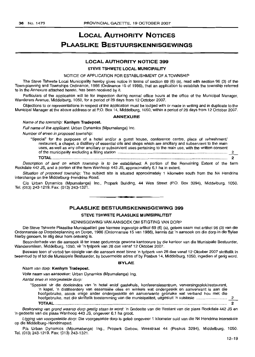## **LOCAL AUTHORITY NOTICES PLAASLIKE BESTUURSKENNISGEWINGS**

## LOCAL AUTHORITY NOTICE 399

## STEVE TSHWETE LOCAL MUNICIPALITY

NOTICE OF APPLICATION FOR ESTABLISHMENT OF A TOWNSHIP

The Steve Tshwete Local Municipality hereby gives notice in terms of section 69 (6) (a), read with section 96 (3) of the Town-planning and Townships Ordinance, 1986 (Ordinance 15 of 1986), that an application to establish the township referred to in the Annexure attached hereto, has been received by it.

Particulars of the application will lie for inspection during normal office hours at the office of the Municipal Manager, Wanderers Avenue, Middelburg, 1050, for a period of 28 days from 12 October 2007.

Objections to or representations in respect of the application must be lodged with or made in writing and in duplicate to the Municipal Manager althe above address or at P.O. Box 14, Middelburg, 1050, within a period of 28 days from 12 October 2007.

#### ANNEXURE

#### Name of the township: Kanhym Tradepost.

Full name of the applicant: Urban Dynamics (Mpumalanga) Inc.

Number of erven in proposed township:

"Special" for the purposes of a hotel and/or a guest house, conference centre, place of refreshment/ restaurant, a chapel, a distillery of essential oils and shops which are ancillary and subservient to the main uses, as well as any other ancillary or subservient uses pertaining to the main use, with the written consent of the municipality excluding a filling station 2

TOTAL 2

Description of land on which township is to be established: A portion of the Remaining Extent of the farm Rockdale 442 JS, and a portion of the farm Wanhoop 443 JS, approximately 6,1 ha in extent.

Situation of proposed township: The subject site is situated approximately 1 kilometre south from the N4 Hendrina interchange on the Mlddelburg-Hendrina Road.

C/o Urban Dynamics (Mpumalanga) Inc., Propark Building, 44 Wes Street (P.O. Box 3294), Mlddelburg, 1050. Tel. (013) 243-1219. Fax: (013) 243-1321.

## PLAASLIKE BESTUURSKENNISGEWING 399

**•**

#### STEVE TSHWETE PLAASLIKE MUNISIPALITEIT

#### KENNISGEWING VAN AANSOEK OM STIGTING VAN DORP

Die Steve Tshwete Plaasllke Munisipaliteit gee hiermee ingevolge artikel 69 (6) (a), gelees saam met artikel 96 (3) van die Ordonnansie op Dorpsbeplanning en Dorpe, 1966 (Ordonnansie 15 van 1966), kennis dat 'n aansoek am die dorp in die Bylae hierby genoem, te stig deur hom ontvang is.

Besonderhede van die aansoek lê ter insae gedurende gewone kantoorure by die kantoor van die Munisipale Bestuurder, Wandererslaan, Mlddelburg, 1050, vir 'n tydperk van 26 dae vanaf 12 Oktober 2007.

Besware teen of vertoë ten opsigte van die aansoek moet binne 'n tydperk van 28 dae vanaf 12 Oktober 2007 skriftelik in tweevoud by of tot die Munisipale Bestuurder, by bovermelde adres of by Posbus 14, Middelburg, 1050, ingedien of gerig word.

#### BYLAE

#### Naam van dorp: Kanhym Tradepost.

Volle naam van aansoeker: Urban Dynamics (Mpumalanga) Ing.

Aantal erwe in voorgestelde dorp:

"Speslaal vir die doeleindes van 'n hotel en/of gastehuls, konferensiesentrum, verversingsplek/restaurant, 'n kapel, 'n distilleerdery van essensiele olies en winkels wat ondergeskik en aanverwant is aan die hoofgebruike, asook enige ander ondergeskikte en aanverwante gebruike wat verband hou met die hoofgebruike, met die skrlftelik toestemming van die munisipaliteit, uitgesluit 'n vulstasie \_2\_ TOTAAL............................................................................................................................................................ 2

Beskrywing van grond waarop dorp gestig staan te word: 'n Gedeelte van die Restant van die plaas Rockdale 442 JS en 'n gedeelte van die plaas Wanhoop 443 JS, ongeveer 6,1 ha groot.

Ligging van voorgestelde dorp: Die voorgestelde dorp is geleë ongeveer 1 kilometer suid van die N4 Hendrina interseksie op die Middelburg-Hendrinapad.

P/a Urban Dynamics (Mpumalanga) Ing., Propark Gebou, Wesstraat 44 (Posbus 3294), Middelburg, 1050. Tel. (013) 243-1219. Fax: (013) 243-1321.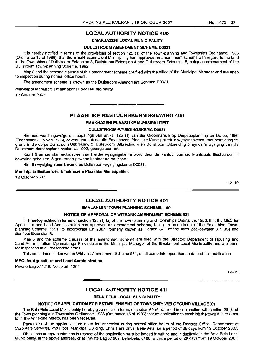## LOCAL AUTHORITY NOTICE 400

## EMAKHAZENI LOCAL MUNICIPALITY

#### DULLSTROOM AMENDMENT SCHEME 00021

It is hereby notified in terms of the provisions of section 125 (1) of the Town-planning and Townships Ordinance, 1986 (Ordinance 15 of 1986), that the Emakhazeni Local Municipality has approved an amendment scheme with regard to the land in the Townships of Dullstroom Extension 3, Duilstroom Extension 4 and Dullstroom Extension 5, being an amendment of the Dullstroom Town-planning Scheme, 1992.

Map 3 and the scheme clauses of this amendment scheme are filed with the office of the Municipal Manager and are open to inspection during normal office hours.

The amendment scheme is known as the Dullstroom Amendment Scheme D0021.

#### Municipal Manager: Emakhazeni Local Municipality

12 October 2007

#### PLAASLIKE BESTUURSKENNISGEWING 400

#### EMAKHAZENI PLAASLIKE MUNISIPALITEIT

### DULLSTROOM·WYSIGINGSKEMA 00021

Hiermee word ingevolge die bepalings van artikel 125 (1) van die Ordonnansie op Dorpsbeplanning en Dorpe, 1986 (Ordonnansie 15 van 1986), bekendgemaak dat die Emakhazeni Plaaslike Munisipaliteit 'n wysigingskema, met betrekking tot grond in die dorpe Duilstroom Uitbreiding 3, Duilstroom Uitbreiding 4 en Dullstroom Uitbreiding 5, synde 'n wysiging van die Dullstroom-dorpsbeplanningskema, 1992, goedgekeur het.

Kaart 3 en die skemaklousules van hierdie wysigingskema word deur die kantoor van die Munisipale Bestuurder, in bewaring gehou en lê gedurende gewone kantoorure ter insae.

Hierdie wysiging staan bekend as Dullstroom-wysigingskema D0021.

#### Munisipale Bestuurder: Emakhazeni Plaaslike Munisipaliteit

12 Oktober 2007

12-19

## LOCAL AUTHORITY NOTICE 401

#### EMALAHLENI TOWN-PLANNING SCHEME, 1991

## NOTICE OF APPROVAL OF WITBANK AMENDMENT SCHEME 931

It is hereby notified in terms of section 125 (1) (a) of the Town-planning and Townships Ordinance, 1986, that the MEC for Agriculture and Land Administration has approved an amendment scheme, being an amendment of the Emalahleni Townplanning Scheme, 1991, to incorporate Erf 2807 (formerly known as Portion 371 of the farm Zeekoewater 311 JS) into Benfleur Extension 3.

Map 3 and the scheme clauses of the amendment scheme are filed with the Director: Department of Housing and Land Administration, Mpumalanga Province and the Municipal Manager of the Emalahleni Local Municipality and are open for inspection at all reasonable times.

This amendment is known as Witbank Amendment Scheme 931, shall come into operation on date of this publication.

#### MEC, for Agriculture and Land Administration

Private Bag X11219, Nelspruit, 1200

12-19

## LOCAL AUTHORITY NOTICE 411

#### BELA-BELA LOCAL MUNICIPALITY

#### NOTICE OF APPLICATION FOR ESTABLISHMENT OF TOWNSHIP: WELGEGUND VILLAGE X1

The Bela-Bela Local Municipality hereby give notice in terms of section 69 (6) (a) read in conjunction with section 96 (3) of the Town-planning and Townships Ordinance, 1986 (Ordinance 15 of 1986) that an application to establish the township referred to in the Annexure hereto, has been received.

Particulars of the application are open for inspection during normal office hours of the Records Office, Department of Corporate Services, 2nd Floor, Municipal Building, Chris Hani Drive, Bela-Bela, for a period of 28 days from 19 October 2007.

Objections or representations in respect of the application must be lodged in writing and in duplicate to the Bela-Bela Local Municipality, at the above address, or at Private Bag X1609, Bela-Bela, 0480, within a period of 28 days from 19 October 2007.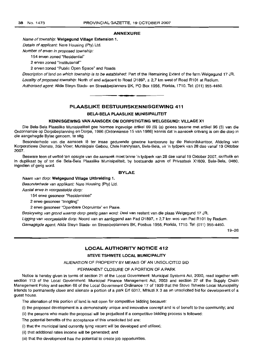#### ANNEXURE

#### Name of township: Welgegund Village Extension 1.

Details of applicant: Nare Housing (Pty) Ltd.

Number of erven in proposed township:

154 erven zoned "Residential"

2 erven zoned "Institutional'''

2 erven zoned "Public Open Space" and Roads

Description of land on which township is to be established: Part of the Remaining Extent of the farm Welgegund 17 JR. Locality of proposed township: North of and adjacent to Road D1897,  $\pm$  2,7 km west of Road R101 at Radium. Authorised agent: Alida Steyn Stads- en Streekbeplanners BK, PO Box 1956, Florida, 1710. Tel: (011) 955-4450 .

## PLAASLIKE BESTUURSKENNISGEWING 411

**•**

#### BELA·BELA PLAASLIKE MUNISIPALITEIT

#### KENNISGEWING VAN AANSOEK OM DORPSTIGTING WELGEGUND: VILLAGE X1

Die Bela-Bela Plaaslike Munisipaliteit gee hiermee ingevolge artikel 69 (6) (a) gelees tesame met artikel 96 (3) van die Ordonnansie op Dorpsbeplanning en Dorpe, 1986 (Ordonnansie 15 van 1986) kennis dat 'n aansoek ontvang is om die dorp in die aangehegde Bylae genoem, te stig.

Besonderhede van die aansoek lê ter insae gedurende gewone kantoorure by die Rekordskantoor, Afdeling van Korporatiewe Dienste, 2de Vloer, Munisipale Gebou, Chris Hanirylaan, Bela-Bela, vir 'n tydperk van 28 dae vanaf 19 Oktober 2007.

Besware teen of vertoe ten opsigte van die aansoek moet binne 'n tydperk van 28 dae vanaf 19 Oktober 2007, skriflelik en in duplikaat by of tot die Bela-Bela Plaaslike Munisipaliteit, by bostaande adres of Privaatsak X1609, Bela-Bela, 0480, ingedien of gerig word.

#### BYLAE

#### Naam van dorp: Welgegund Village Uitbreiding 1.

Besonderhede van applikant: Nare Housing (Pty) Ltd.

Aantal erwe in voorgestelde dorp:

154 erwe gesoneer "Residensieel"

2 erwe gesoneer "Inrigting"

2 erwe gesoneer "Openbare Oopruimte" en Paaie.

Beskrywing van grond waarop dorp gestig gaan word: Deel van restant van die plaas Welgegund 17 JR.

Ligging van voorgestelde dorp: Noord van en aanliggend aan Pad D1897, ± 2,7 km wes van Pad R101 by Radium.

Gemagtigde agent: Alida Steyn Stads- en Streekbeplanners BK, Posbus 1956, Florida, 1710. Tel: (011) 955-4450.

19-26

## LOCAL AUTHORITY NOTICE 412

#### STEVE TSHWETE LOCAL MUNICIPALITY

ALIENATION OF PROPERTY BY MEANS OF AN UNSOLICITED BID

### PERMANENT CLOSURE OF A PORTION OF A PARK

Notice is hereby given in terms of section 21 of the Local Government: Municipal Systems Act, 2000, read together with section 113 of the Local Government: Municipal Finance Management Act, 2003 and section 37 of the Supply Chain Management Policy and section 68 of the Local Government Ordinance 17 of 1939 that the Steve Tshwete Local Municipality intends to permanently close and alienate a portion of a park Erf 6317, Mhluzi X 3 as an unsolicited bid for development of a guest house.

The alienation of this portion of land is not open for competitive bidding because:

(i) the proposed development is a demonstrably unique and innovative concept and is of benefit to the community; and

(ii) the persons who made the proposal will be prejudiced if a competitive bidding process is followed:

The potential benefits of the acceptance of this unsolicited bid are:

(i) that the municipal land currently lying vacant will be developed and utilised;

- (ii) that additional rates income will be generated; and
- (iii) that the development has the potential to create job opportunities.